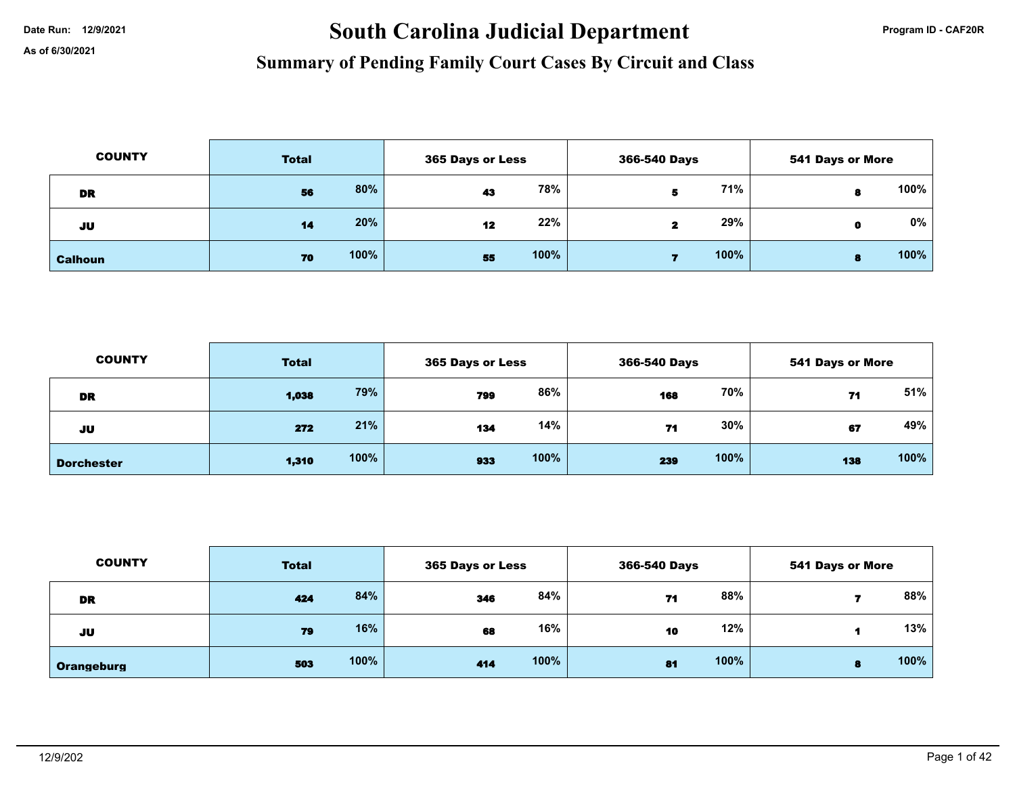# Date Run: 12/9/2021 **South Carolina Judicial Department Program ID - CAF20R**

| <b>COUNTY</b>  | <b>Total</b> |      |    | 365 Days or Less |  | 366-540 Days |   | <b>541 Days or More</b> |  |
|----------------|--------------|------|----|------------------|--|--------------|---|-------------------------|--|
| <b>DR</b>      | 56           | 80%  | 43 | 78%              |  | 71%          |   | 100%                    |  |
| JU             | 14           | 20%  | 12 | 22%              |  | 29%          | o | $0\%$                   |  |
| <b>Calhoun</b> | 70           | 100% | 55 | 100%             |  | 100%         | в | 100%                    |  |

| <b>COUNTY</b>     | <b>Total</b> |      |     | 365 Days or Less |     | 366-540 Days |     | 541 Days or More |  |
|-------------------|--------------|------|-----|------------------|-----|--------------|-----|------------------|--|
| DR                | 1,038        | 79%  | 799 | 86%              | 168 | 70%          | 71  | 51%              |  |
| JU                | 272          | 21%  | 134 | 14%              | 71  | $30\%$       | 67  | 49%              |  |
| <b>Dorchester</b> | 1,310        | 100% | 933 | 100%             | 239 | 100%         | 138 | 100%             |  |

| <b>COUNTY</b> | <b>Total</b> |      |     | 365 Days or Less |    | 366-540 Days |   | 541 Days or More |  |
|---------------|--------------|------|-----|------------------|----|--------------|---|------------------|--|
| <b>DR</b>     | 424          | 84%  | 346 | 84%              | 71 | 88%          |   | 88%              |  |
| JU            | 79           | 16%  | 68  | 16%              | 10 | 12%          |   | 13%              |  |
| Orangeburg    | 503          | 100% | 414 | 100%             | 81 | 100%         | в | 100%             |  |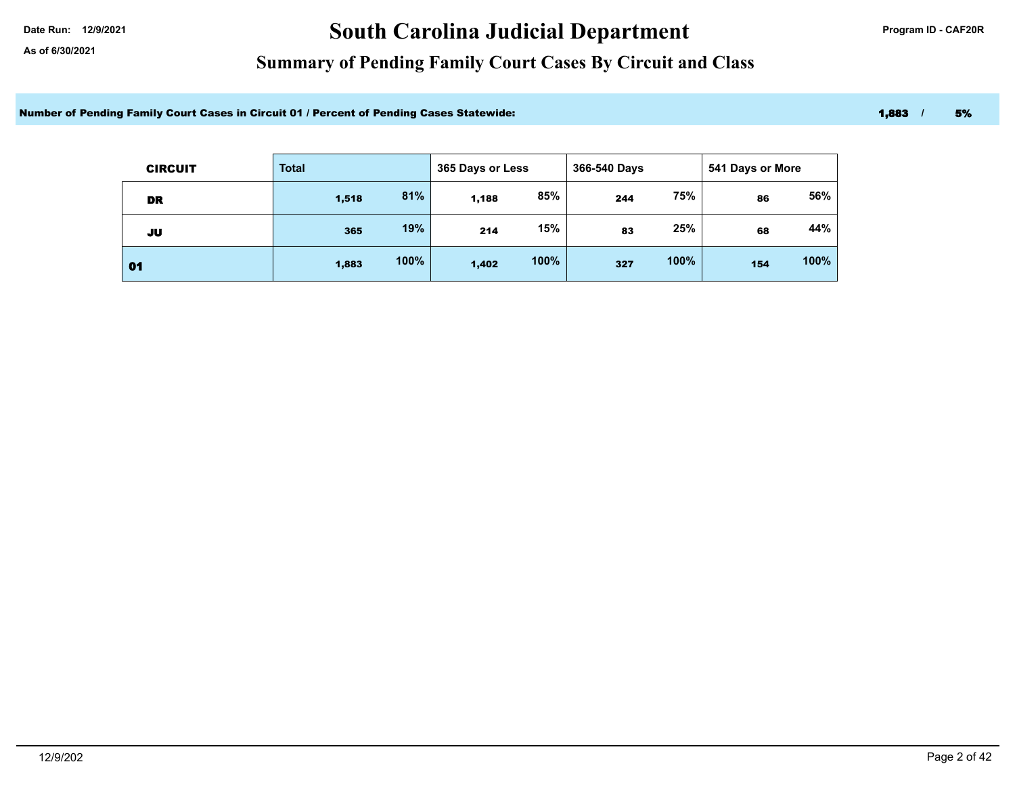# Date Run: 12/9/2021 **Carolina Judicial Department Program ID - CAF20R**

### **Summary of Pending Family Court Cases By Circuit and Class**

Number of Pending Family Court Cases in Circuit 01 / Percent of Pending Cases Statewide: 1,883 / 5% 1,883 / 5%

| <b>CIRCUIT</b> | <b>Total</b> |      | 365 Days or Less |      | 366-540 Days |      | 541 Days or More |      |
|----------------|--------------|------|------------------|------|--------------|------|------------------|------|
| <b>DR</b>      | 1,518        | 81%  | 1,188            | 85%  | 244          | 75%  | 86               | 56%  |
| JU             | 365          | 19%  | 214              | 15%  | 83           | 25%  | 68               | 44%  |
| 01             | 1,883        | 100% | 1,402            | 100% | 327          | 100% | 154              | 100% |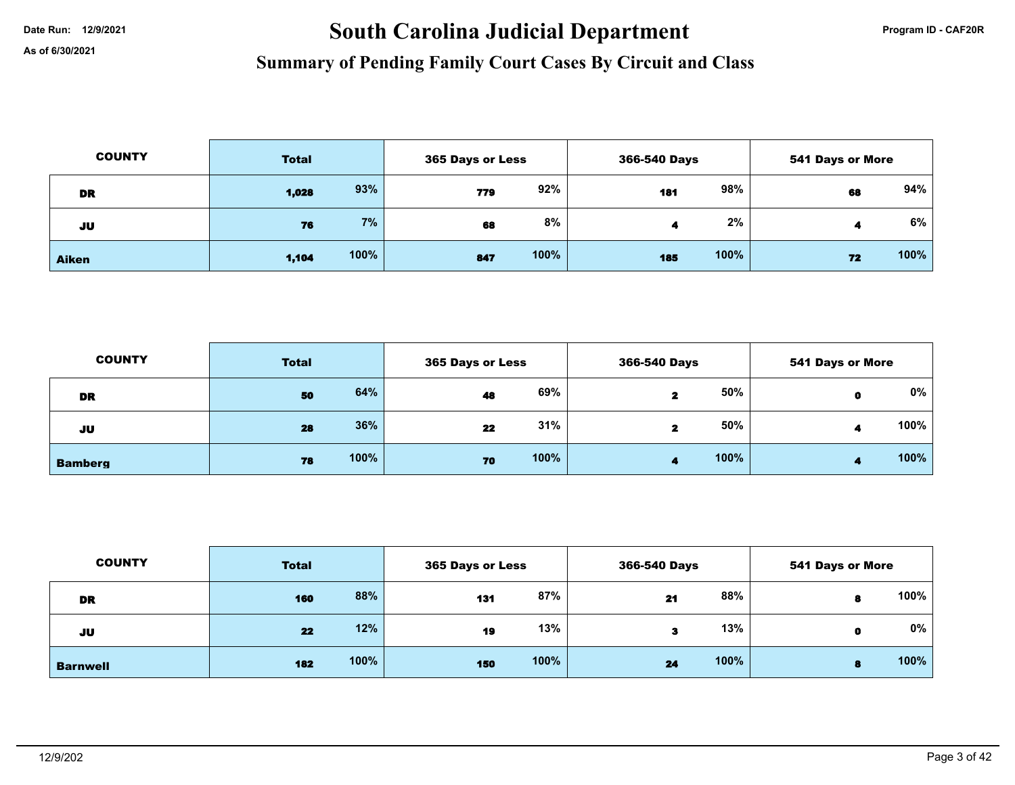# Date Run: 12/9/2021 **South Carolina Judicial Department Program ID - CAF20R**

| <b>COUNTY</b> | <b>Total</b> |      |     | 365 Days or Less |     | 366-540 Days |    | <b>541 Days or More</b> |  |
|---------------|--------------|------|-----|------------------|-----|--------------|----|-------------------------|--|
| <b>DR</b>     | 1,028        | 93%  | 779 | 92%              | 181 | 98%          | 68 | 94%                     |  |
| JU            | 76           | 7%   | 68  | 8%               |     | 2%           |    | 6%                      |  |
| <b>Aiken</b>  | 1,104        | 100% | 847 | 100%             | 185 | 100%         | 72 | 100%                    |  |

| <b>COUNTY</b>  | <b>Total</b> | 365 Days or Less | 366-540 Days | <b>541 Days or More</b> |  |
|----------------|--------------|------------------|--------------|-------------------------|--|
| DR             | 64%<br>50    | 69%<br>48        | 50%<br>2     | 0%                      |  |
| JU             | 36%<br>28    | 31%<br>22        | 50%<br>2     | 100%                    |  |
| <b>Bamberg</b> | 100%<br>78   | 100%<br>70       | 100%<br>4    | 100%                    |  |

| <b>COUNTY</b>   | <b>Total</b> |      |     | 365 Days or Less |    | 366-540 Days |   | <b>541 Days or More</b> |  |
|-----------------|--------------|------|-----|------------------|----|--------------|---|-------------------------|--|
| <b>DR</b>       | 160          | 88%  | 131 | 87%              | 21 | 88%          | 8 | 100%                    |  |
| JU              | 22           | 12%  | 19  | 13%              | з  | 13%          | 0 | 0%                      |  |
| <b>Barnwell</b> | 182          | 100% | 150 | 100%             | 24 | 100%         | 8 | 100%                    |  |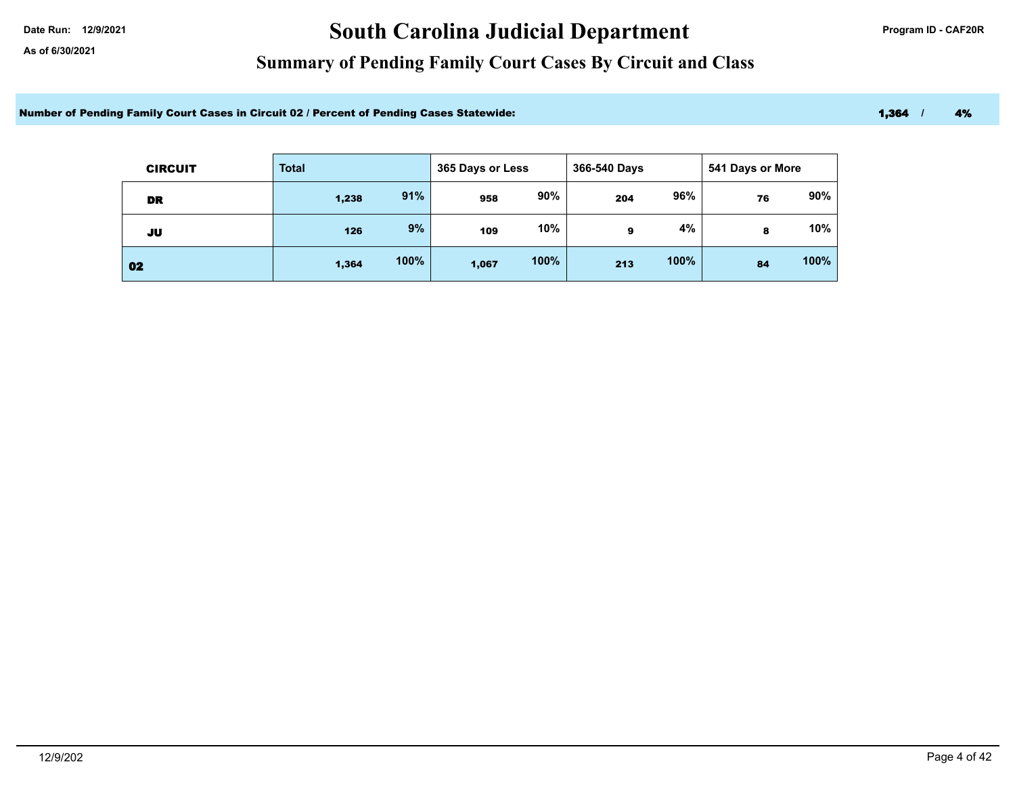# Date Run: 12/9/2021 **Carolina Judicial Department Program ID - CAF20R**

### **Summary of Pending Family Court Cases By Circuit and Class**

Number of Pending Family Court Cases in Circuit 02 / Percent of Pending Cases Statewide: 1,364 / 1,364 / 4%

| <b>CIRCUIT</b> | <b>Total</b> |      | 365 Days or Less |      | 366-540 Days |      | 541 Days or More |      |
|----------------|--------------|------|------------------|------|--------------|------|------------------|------|
| DR             | 1,238        | 91%  | 958              | 90%  | 204          | 96%  | 76               | 90%  |
| JU             | 126          | 9%   | 109              | 10%  | 9            | 4%   | 8                | 10%  |
| 02             | 1,364        | 100% | 1,067            | 100% | 213          | 100% | 84               | 100% |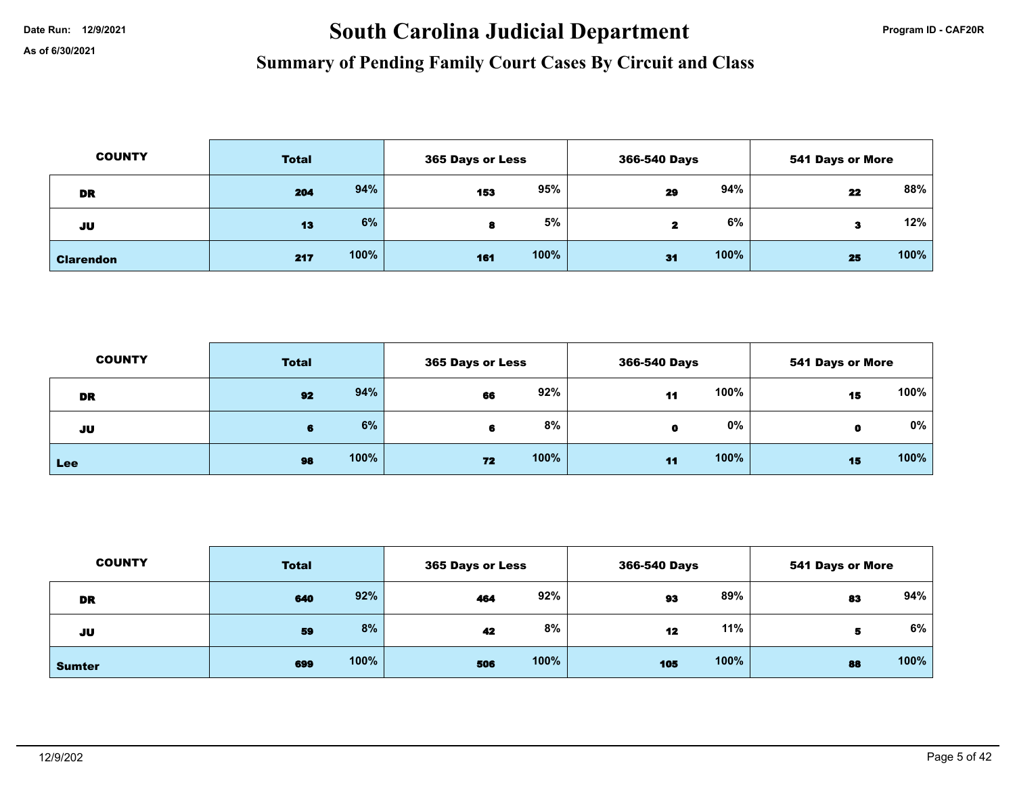# Date Run: 12/9/2021 **South Carolina Judicial Department Program ID - CAF20R**

| <b>COUNTY</b>    | <b>Total</b> |      |     | 365 Days or Less |    | 366-540 Days |    | <b>541 Days or More</b> |  |
|------------------|--------------|------|-----|------------------|----|--------------|----|-------------------------|--|
| <b>DR</b>        | 204          | 94%  | 153 | 95%              | 29 | 94%          | 22 | 88%                     |  |
| JU               | 13           | 6%   |     | 5%               | 2  | 6%           | з  | 12%                     |  |
| <b>Clarendon</b> | 217          | 100% | 161 | 100%             | 31 | 100%         | 25 | 100%                    |  |

| <b>COUNTY</b> | <b>Total</b> |      | 365 Days or Less |      | 366-540 Days    |      | <b>541 Days or More</b> |      |
|---------------|--------------|------|------------------|------|-----------------|------|-------------------------|------|
| DR            | 92           | 94%  | 66               | 92%  | 11              | 100% | 15                      | 100% |
| JU            | Ð            | 6%   |                  | 8%   | $\mathbf o$     | 0%   |                         | 0%   |
| Lee           | 98           | 100% | 72               | 100% | $\overline{11}$ | 100% | 15                      | 100% |

| <b>COUNTY</b> | <b>Total</b> |      |     | 365 Days or Less |     | 366-540 Days |    | 541 Days or More |  |
|---------------|--------------|------|-----|------------------|-----|--------------|----|------------------|--|
| <b>DR</b>     | 640          | 92%  | 464 | 92%              | 93  | 89%          | 83 | 94%              |  |
| JU            | 59           | 8%   | 42  | 8%               | 12  | 11%          | 5  | 6%               |  |
| <b>Sumter</b> | 699          | 100% | 506 | 100%             | 105 | 100%         | 88 | 100%             |  |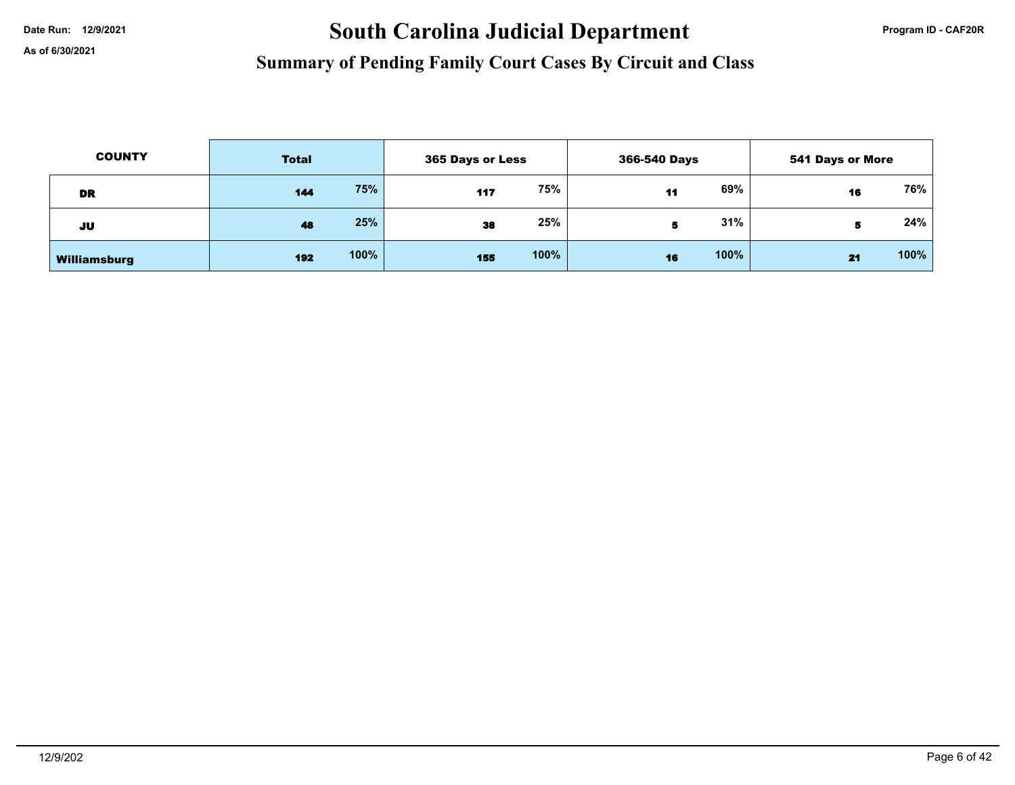# Date Run: 12/9/2021 **South Carolina Judicial Department Program ID - CAF20R**

| <b>COUNTY</b> | <b>Total</b> |      | 365 Days or Less |      | 366-540 Days |      | 541 Days or More |      |
|---------------|--------------|------|------------------|------|--------------|------|------------------|------|
| DR            | 144          | 75%  | 117              | 75%  | 11           | 69%  | 16               | 76%  |
| JU            | 48           | 25%  | 38               | 25%  |              | 31%  | Ð                | 24%  |
| Williamsburg  | 192          | 100% | 155              | 100% | 16           | 100% | 21               | 100% |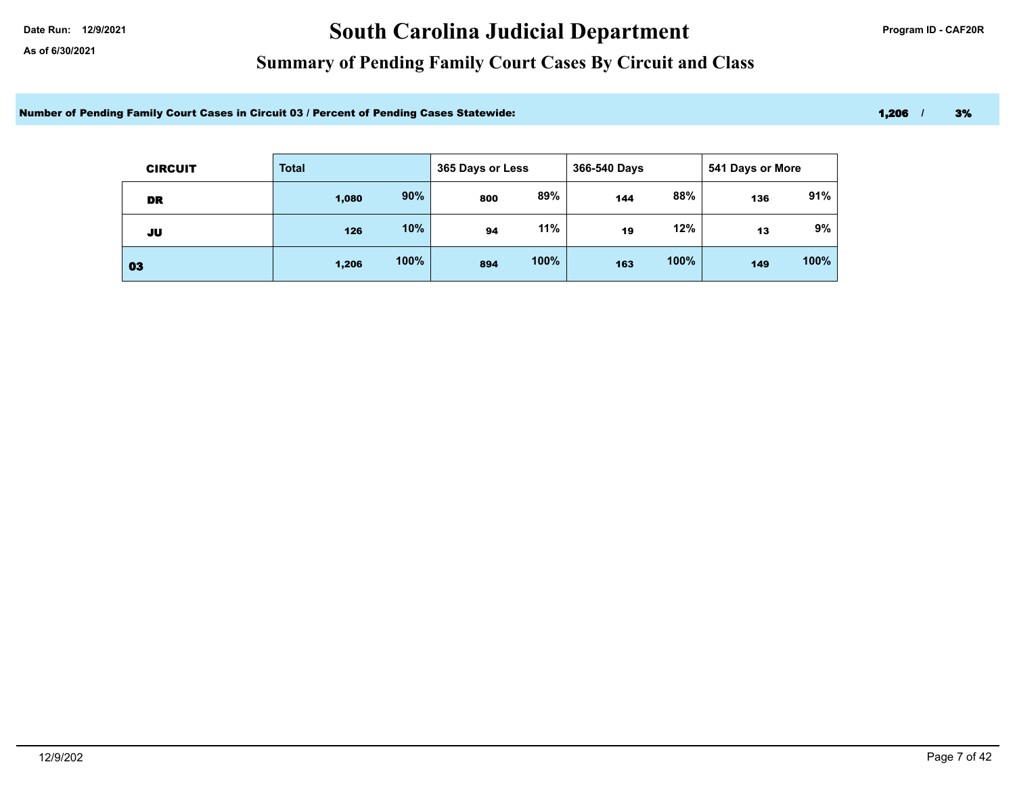# Date Run: 12/9/2021 **Carolina Judicial Department Program ID - CAF20R**

### **Summary of Pending Family Court Cases By Circuit and Class**

Number of Pending Family Court Cases in Circuit 03 / Percent of Pending Cases Statewide: 1,206 1,206 1,206 1,206 1,206 1,206 1,206 1,206 1,206 1,206 1,206 1,206 1,206 1,206 1,206 1,206 1,206 1,206 1,206 1,206 1,206 1,206 1

| <b>CIRCUIT</b> | <b>Total</b> |      | 365 Days or Less |      | 366-540 Days |      | 541 Days or More |      |
|----------------|--------------|------|------------------|------|--------------|------|------------------|------|
| DR             | 1,080        | 90%  | 800              | 89%  | 144          | 88%  | 136              | 91%  |
| JU             | 126          | 10%  | 94               | 11%  | 19           | 12%  | 13               | 9%   |
| 03             | 1,206        | 100% | 894              | 100% | 163          | 100% | 149              | 100% |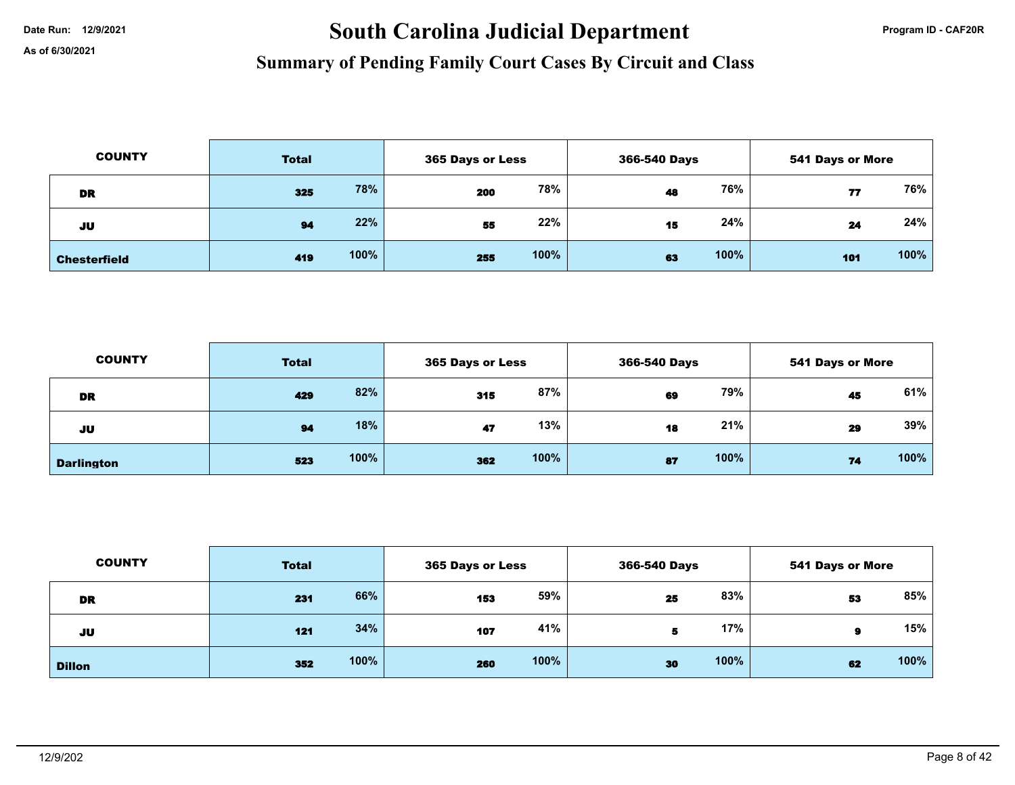# Date Run: 12/9/2021 **South Carolina Judicial Department Program ID - CAF20R**

| <b>COUNTY</b>       | <b>Total</b> |      | 365 Days or Less |      | 366-540 Days |      | <b>541 Days or More</b> |      |
|---------------------|--------------|------|------------------|------|--------------|------|-------------------------|------|
| DR                  | 325          | 78%  | 200              | 78%  | 48           | 76%  | 77                      | 76%  |
| JU                  | 94           | 22%  | 55               | 22%  | 15           | 24%  | 24                      | 24%  |
| <b>Chesterfield</b> | 419          | 100% | 255              | 100% | 63           | 100% | 101                     | 100% |

| <b>COUNTY</b>     | <b>Total</b> |      | <b>365 Days or Less</b> |      | 366-540 Days |      | <b>541 Days or More</b> |      |
|-------------------|--------------|------|-------------------------|------|--------------|------|-------------------------|------|
| DR                | 429          | 82%  | 315                     | 87%  | 69           | 79%  | 45                      | 61%  |
| JU                | 94           | 18%  | 47                      | 13%  | 18           | 21%  | 29                      | 39%  |
| <b>Darlington</b> | 523          | 100% | 362                     | 100% | 87           | 100% | 74                      | 100% |

| <b>COUNTY</b> | <b>Total</b> |      | 365 Days or Less |      | 366-540 Days |      | <b>541 Days or More</b> |      |
|---------------|--------------|------|------------------|------|--------------|------|-------------------------|------|
| <b>DR</b>     | 231          | 66%  | 153              | 59%  | 25           | 83%  | 53                      | 85%  |
| JU            | 121          | 34%  | 107              | 41%  | 5.           | 17%  | 9                       | 15%  |
| <b>Dillon</b> | 352          | 100% | 260              | 100% | 30           | 100% | 62                      | 100% |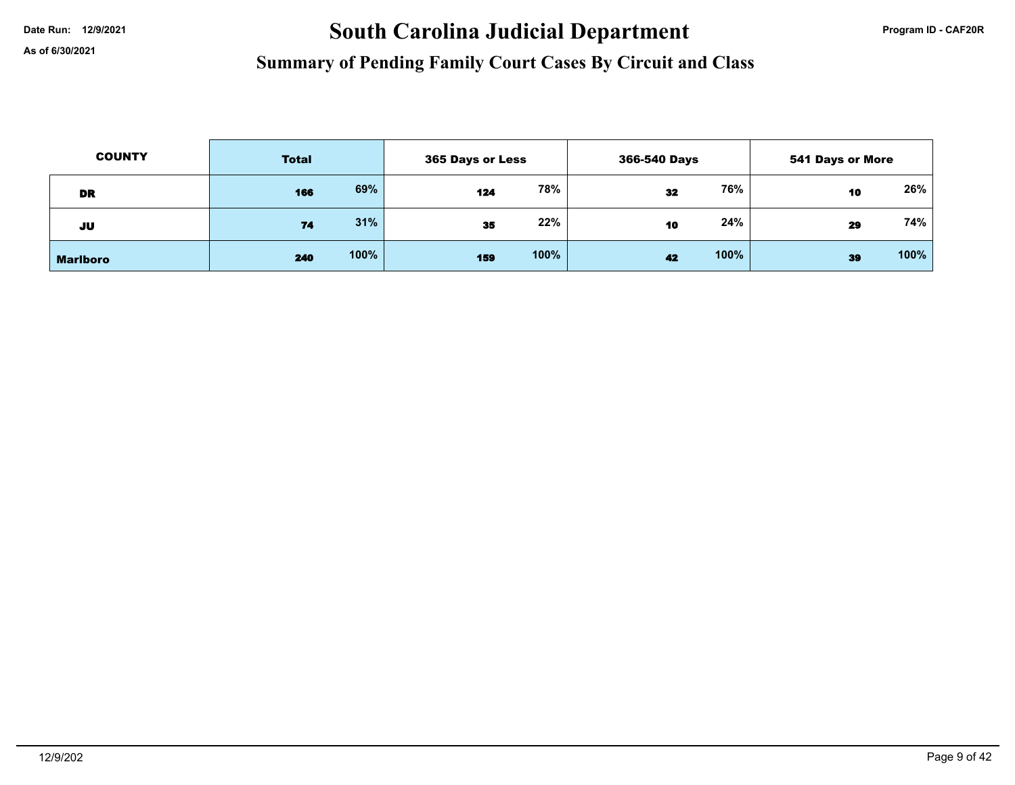# Date Run: 12/9/2021 **South Carolina Judicial Department Program ID - CAF20R**

| <b>COUNTY</b>   | <b>Total</b> |      | 365 Days or Less |      | 366-540 Days |      | 541 Days or More |        |
|-----------------|--------------|------|------------------|------|--------------|------|------------------|--------|
| <b>DR</b>       | 166          | 69%  | 124              | 78%  | 32           | 76%  | 10               | $26\%$ |
| JU              | 74           | 31%  | 35               | 22%  | 10           | 24%  | 29               | 74%    |
| <b>Marlboro</b> | 240          | 100% | 159              | 100% | 42           | 100% | 39               | 100%   |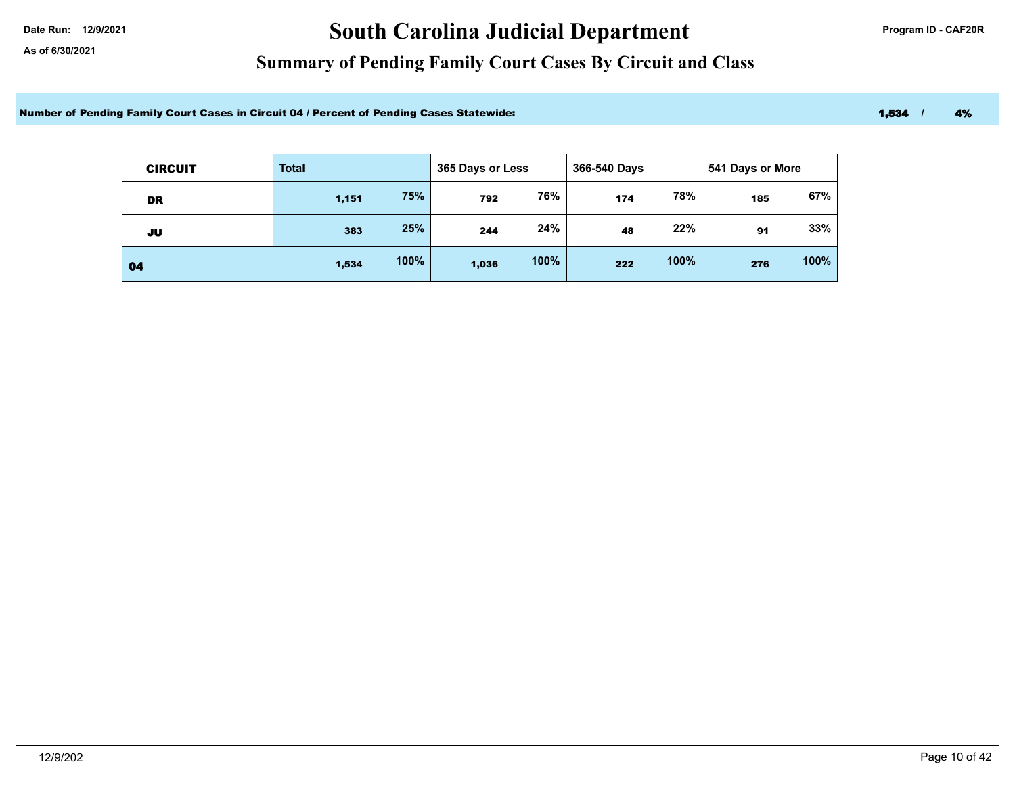# Date Run: 12/9/2021 **Carolina Judicial Department Program ID - CAF20R**

### **Summary of Pending Family Court Cases By Circuit and Class**

Number of Pending Family Court Cases in Circuit 04 / Percent of Pending Cases Statewide: 1,534 / 1,534 / 4%

| <b>CIRCUIT</b> | <b>Total</b> |      | 365 Days or Less |      | 366-540 Days |      | 541 Days or More |      |
|----------------|--------------|------|------------------|------|--------------|------|------------------|------|
| DR             | 1,151        | 75%  | 792              | 76%  | 174          | 78%  | 185              | 67%  |
| JU             | 383          | 25%  | 244              | 24%  | 48           | 22%  | 91               | 33%  |
| 04             | 1,534        | 100% | 1,036            | 100% | 222          | 100% | 276              | 100% |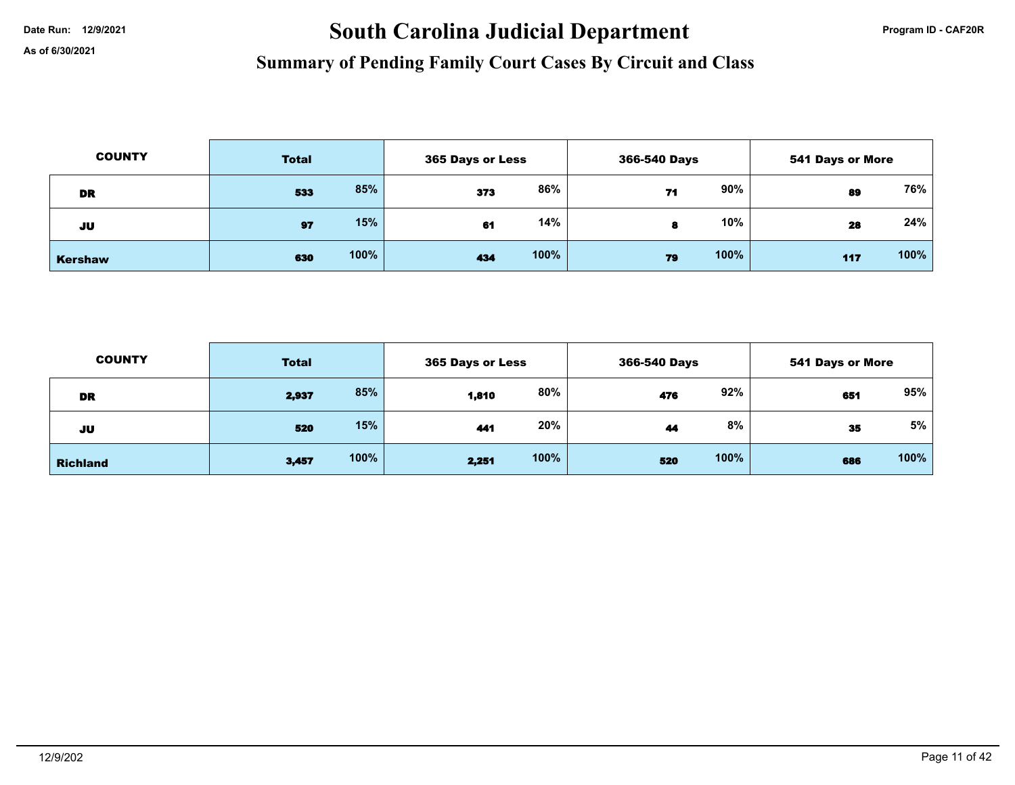# Date Run: 12/9/2021 **Carolina Judicial Department Program ID - CAF20R**

| <b>COUNTY</b>  | <b>Total</b> |      | <b>365 Days or Less</b> |      | 366-540 Days |      | 541 Days or More |      |
|----------------|--------------|------|-------------------------|------|--------------|------|------------------|------|
| DR             | 533          | 85%  | 373                     | 86%  | 71           | 90%  | 89               | 76%  |
| JU             | 97           | 15%  | 61                      | 14%  |              | 10%  | 28               | 24%  |
| <b>Kershaw</b> | 630          | 100% | 434                     | 100% | 79           | 100% | 117              | 100% |

| <b>COUNTY</b>   | <b>Total</b> |      | 365 Days or Less |      | 366-540 Days |      | 541 Days or More |      |
|-----------------|--------------|------|------------------|------|--------------|------|------------------|------|
| DR              | 2,937        | 85%  | 1,810            | 80%  | 476          | 92%  | 651              | 95%  |
| JU              | 520          | 15%  | 441              | 20%  | 44           | 8%   | 35               | 5%   |
| <b>Richland</b> | 3,457        | 100% | 2,251            | 100% | 520          | 100% | 686              | 100% |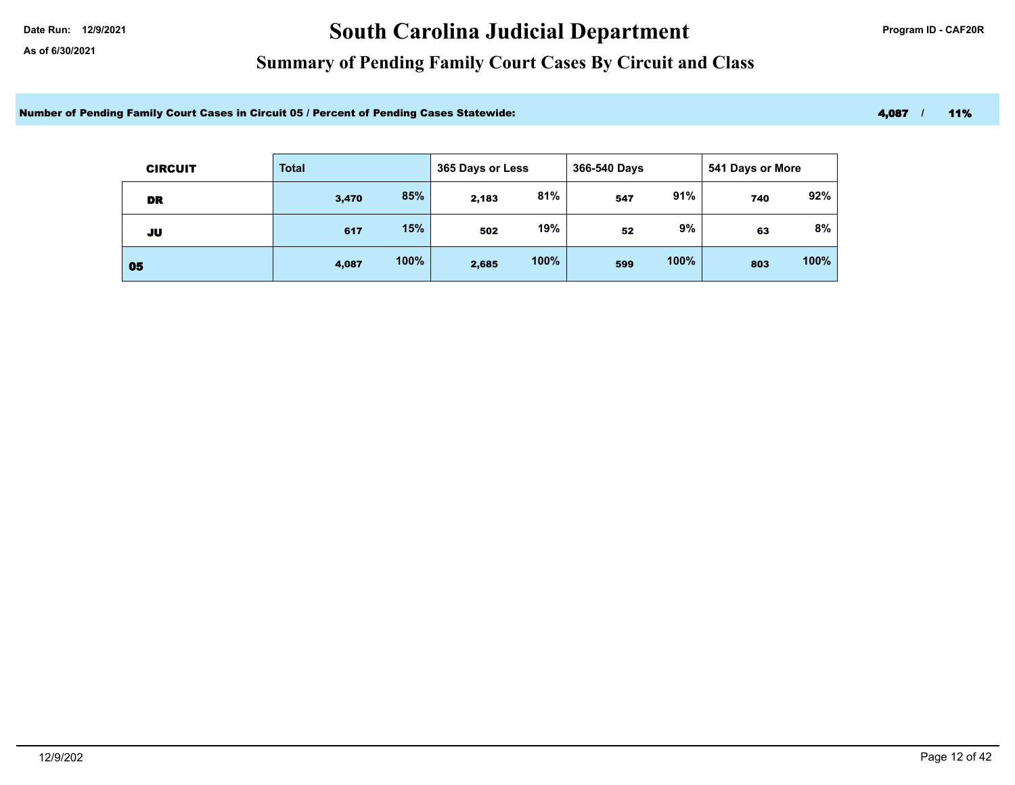# Date Run: 12/9/2021 **Carolina Judicial Department Program ID - CAF20R**

### **Summary of Pending Family Court Cases By Circuit and Class**

Number of Pending Family Court Cases in Circuit 05 / Percent of Pending Cases Statewide: 4,087 / 11%

| <b>CIRCUIT</b> | <b>Total</b> |      | 365 Days or Less |      | 366-540 Days |      | 541 Days or More |      |
|----------------|--------------|------|------------------|------|--------------|------|------------------|------|
| DR             | 3,470        | 85%  | 2,183            | 81%  | 547          | 91%  | 740              | 92%  |
| JU             | 617          | 15%  | 502              | 19%  | 52           | 9%   | 63               | 8%   |
| 05             | 4,087        | 100% | 2,685            | 100% | 599          | 100% | 803              | 100% |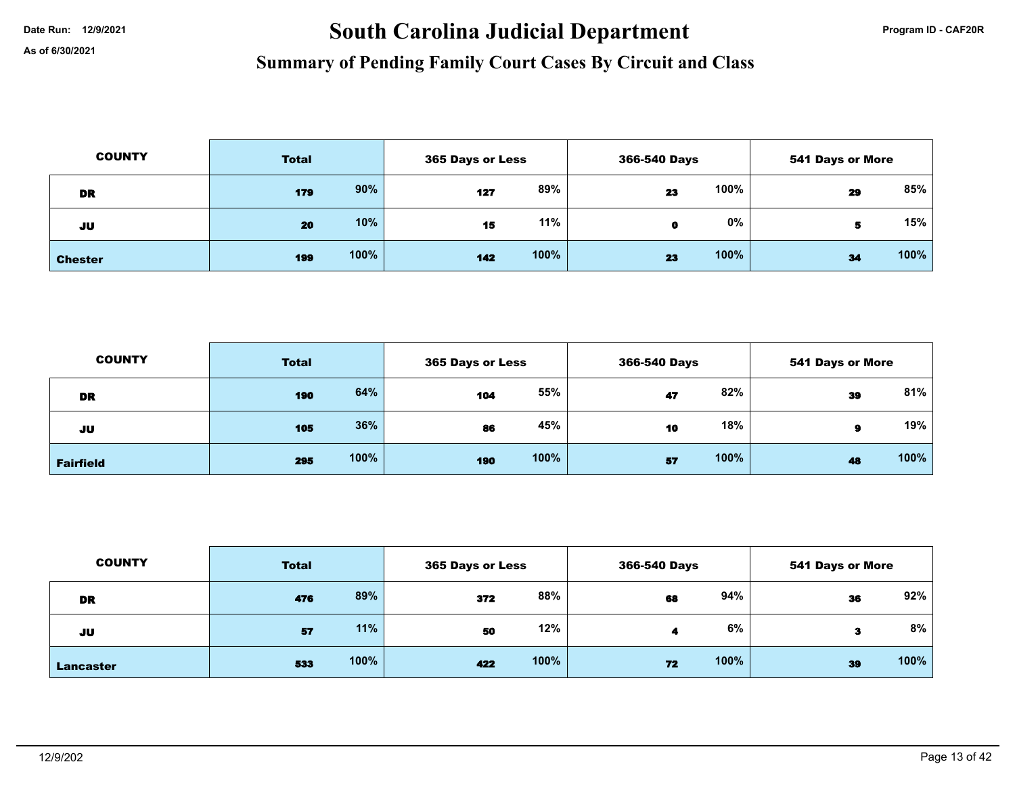# Date Run: 12/9/2021 **South Carolina Judicial Department Program ID - CAF20R**

| <b>COUNTY</b>  | <b>Total</b> |      | 365 Days or Less |      | 366-540 Days |       | <b>541 Days or More</b> |      |
|----------------|--------------|------|------------------|------|--------------|-------|-------------------------|------|
| <b>DR</b>      | 179          | 90%  | 127              | 89%  | 23           | 100%  | 29                      | 85%  |
| JU             | 20           | 10%  | 15               | 11%  | o            | $0\%$ | 5                       | 15%  |
| <b>Chester</b> | 199          | 100% | 142              | 100% | 23           | 100%  | 34                      | 100% |

| <b>COUNTY</b>    | <b>Total</b> |      | 365 Days or Less |      | 366-540 Days |      | <b>541 Days or More</b> |      |
|------------------|--------------|------|------------------|------|--------------|------|-------------------------|------|
| <b>DR</b>        | 190          | 64%  | 104              | 55%  | 47           | 82%  | 39                      | 81%  |
| JU               | 105          | 36%  | 86               | 45%  | 10           | 18%  | я                       | 19%  |
| <b>Fairfield</b> | 295          | 100% | 190              | 100% | 57           | 100% | 48                      | 100% |

| <b>COUNTY</b>    | <b>Total</b> |      | <b>365 Days or Less</b> |      | 366-540 Days |      | <b>541 Days or More</b> |      |
|------------------|--------------|------|-------------------------|------|--------------|------|-------------------------|------|
| <b>DR</b>        | 476          | 89%  | 372                     | 88%  | 68           | 94%  | 36                      | 92%  |
| JU               | 57           | 11%  | 50                      | 12%  |              | 6%   | з                       | 8%   |
| <b>Lancaster</b> | 533          | 100% | 422                     | 100% | 72           | 100% | 39                      | 100% |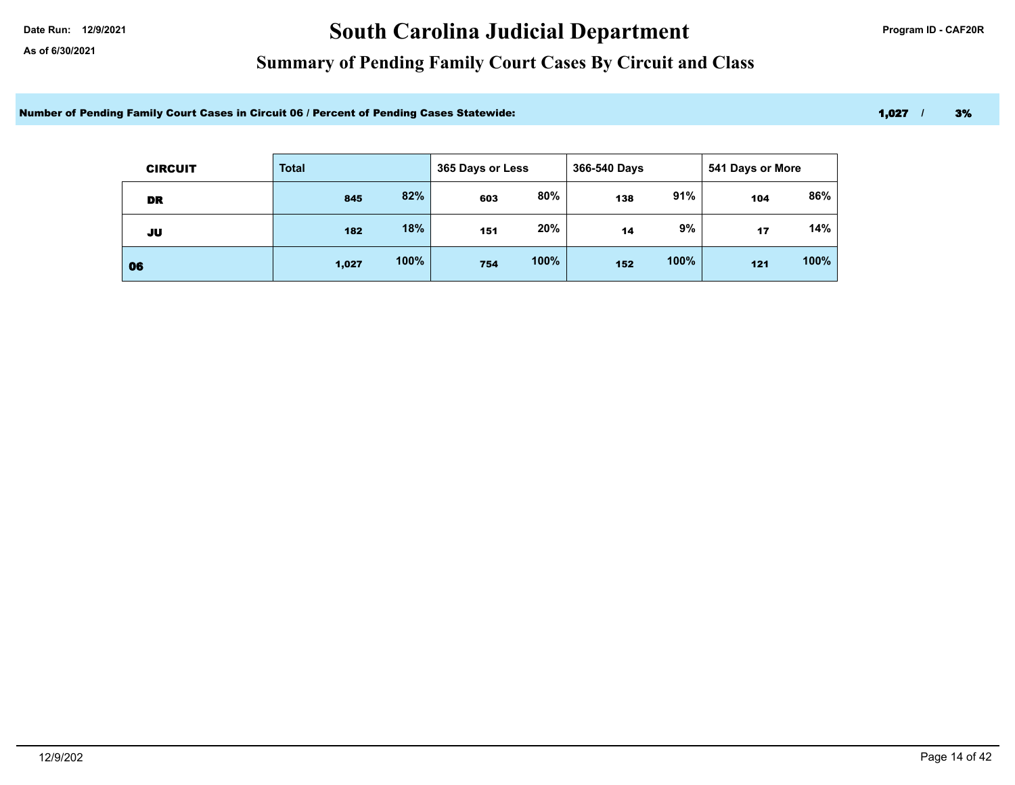# Date Run: 12/9/2021 **Carolina Judicial Department Program ID - CAF20R**

### **Summary of Pending Family Court Cases By Circuit and Class**

Number of Pending Family Court Cases in Circuit 06 / Percent of Pending Cases Statewide: 1,007 / 3% 1,027 / 3%

| <b>CIRCUIT</b> | <b>Total</b> |      | 365 Days or Less |      | 366-540 Days |      | 541 Days or More |      |  |
|----------------|--------------|------|------------------|------|--------------|------|------------------|------|--|
| DR             | 845          | 82%  | 603              | 80%  | 138          | 91%  | 104              | 86%  |  |
| JU             | 182          | 18%  | 151              | 20%  | 14           | 9%   | 17               | 14%  |  |
| 06             | 1,027        | 100% | 754              | 100% | 152          | 100% | 121              | 100% |  |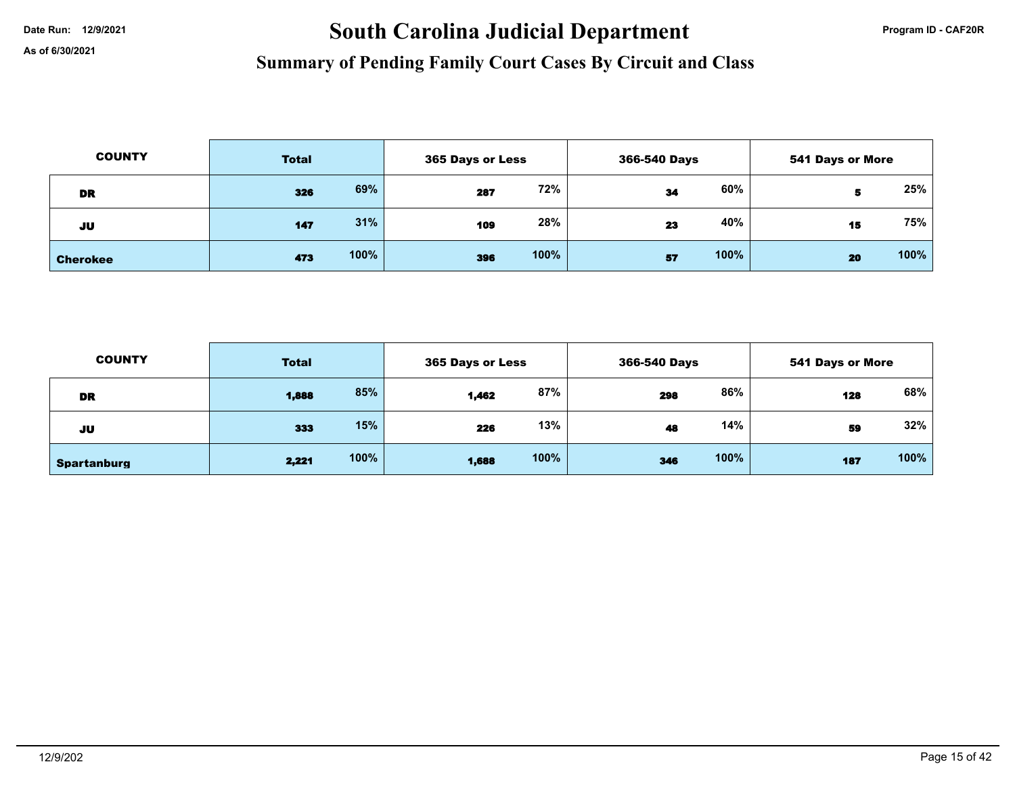# Date Run: 12/9/2021 **South Carolina Judicial Department Program ID - CAF20R**

| <b>COUNTY</b>   | <b>Total</b> |      | 365 Days or Less |      | 366-540 Days |      | <b>541 Days or More</b> |      |
|-----------------|--------------|------|------------------|------|--------------|------|-------------------------|------|
| DR              | 326          | 69%  | 287              | 72%  | 34           | 60%  | 5                       | 25%  |
| JU              | 147          | 31%  | 109              | 28%  | 23           | 40%  | 15                      | 75%  |
| <b>Cherokee</b> | 473          | 100% | 396              | 100% | 57           | 100% | 20                      | 100% |

| <b>COUNTY</b>      | <b>Total</b> |      | 365 Days or Less |      | 366-540 Days |      | 541 Days or More |      |
|--------------------|--------------|------|------------------|------|--------------|------|------------------|------|
| <b>DR</b>          | 1,888        | 85%  | 1,462            | 87%  | 298          | 86%  | 128              | 68%  |
| JU                 | 333          | 15%  | 226              | 13%  | 48           | 14%  | 59               | 32%  |
| <b>Spartanburg</b> | 2,221        | 100% | 1,688            | 100% | 346          | 100% | 187              | 100% |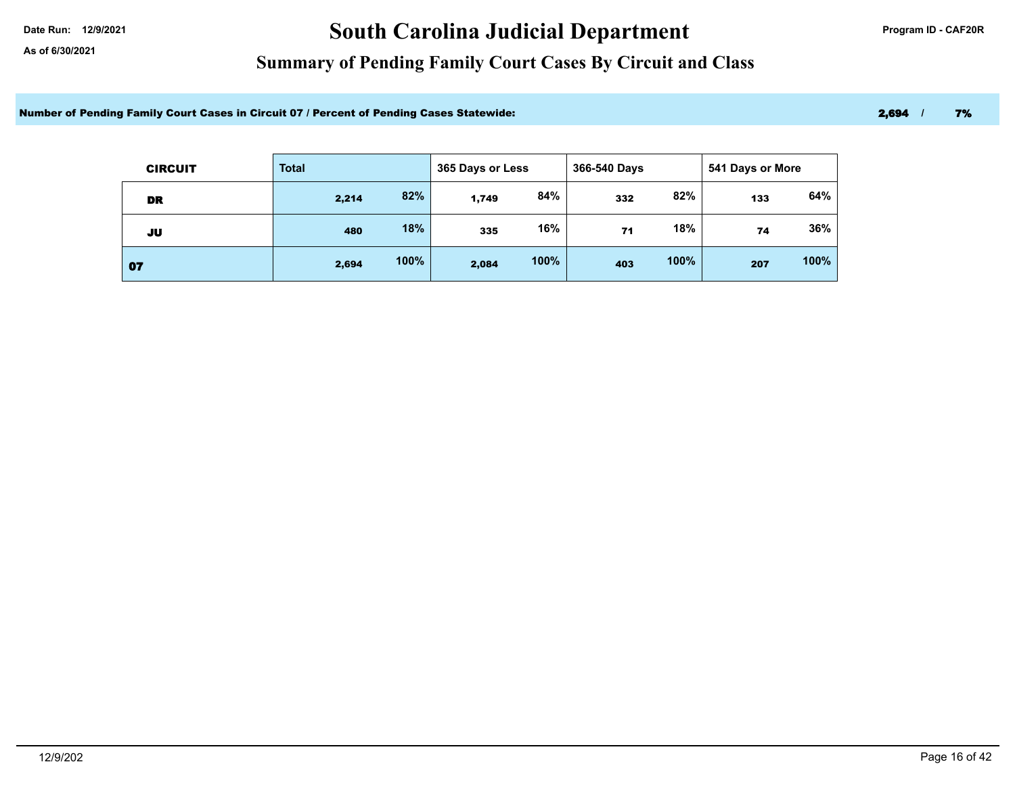# Date Run: 12/9/2021 **Carolina Judicial Department Program ID - CAF20R**

### **Summary of Pending Family Court Cases By Circuit and Class**

Number of Pending Family Court Cases in Circuit 07 / Percent of Pending Cases Statewide: 2,694 / 2,694 / 7%

| <b>CIRCUIT</b> | <b>Total</b> |      | 365 Days or Less |      | 366-540 Days<br>541 Days or More |      |     |      |
|----------------|--------------|------|------------------|------|----------------------------------|------|-----|------|
| DR             | 2,214        | 82%  | 1,749            | 84%  | 332                              | 82%  | 133 | 64%  |
| JU             | 480          | 18%  | 335              | 16%  | 71                               | 18%  | 74  | 36%  |
| 07             | 2,694        | 100% | 2,084            | 100% | 403                              | 100% | 207 | 100% |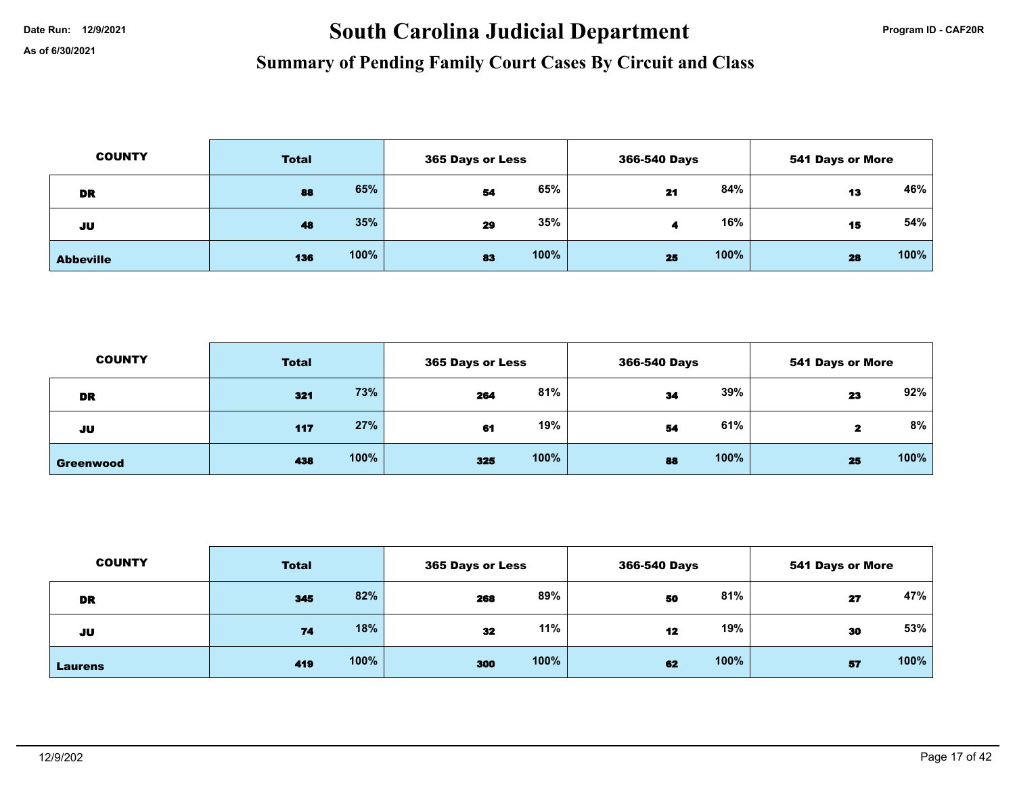# Date Run: 12/9/2021 **South Carolina Judicial Department Program ID - CAF20R**

| <b>COUNTY</b>    | <b>Total</b> |      | 365 Days or Less |      | 366-540 Days |      | <b>541 Days or More</b> |      |
|------------------|--------------|------|------------------|------|--------------|------|-------------------------|------|
| <b>DR</b>        | 88           | 65%  | 54               | 65%  | 21           | 84%  | 13                      | 46%  |
| JU               | 48           | 35%  | 29               | 35%  |              | 16%  | 15                      | 54%  |
| <b>Abbeville</b> | 136          | 100% | 83               | 100% | 25           | 100% | 28                      | 100% |

| <b>COUNTY</b>    | <b>Total</b> |      | <b>365 Days or Less</b> |      | 366-540 Days |      | <b>541 Days or More</b> |      |
|------------------|--------------|------|-------------------------|------|--------------|------|-------------------------|------|
| DR               | 321          | 73%  | 264                     | 81%  | 34           | 39%  | 23                      | 92%  |
| JU               | 117          | 27%  | 61                      | 19%  | 54           | 61%  |                         | 8%   |
| <b>Greenwood</b> | 438          | 100% | 325                     | 100% | 88           | 100% | 25                      | 100% |

| <b>COUNTY</b>  | <b>Total</b> |      |     | 365 Days or Less |    | 366-540 Days |    | <b>541 Days or More</b> |  |
|----------------|--------------|------|-----|------------------|----|--------------|----|-------------------------|--|
| <b>DR</b>      | 345          | 82%  | 268 | 89%              | 50 | 81%          | 27 | 47%                     |  |
| JU             | 74           | 18%  | 32  | 11%              | 12 | 19%          | 30 | 53%                     |  |
| <b>Laurens</b> | 419          | 100% | 300 | 100%             | 62 | 100%         | 57 | 100%                    |  |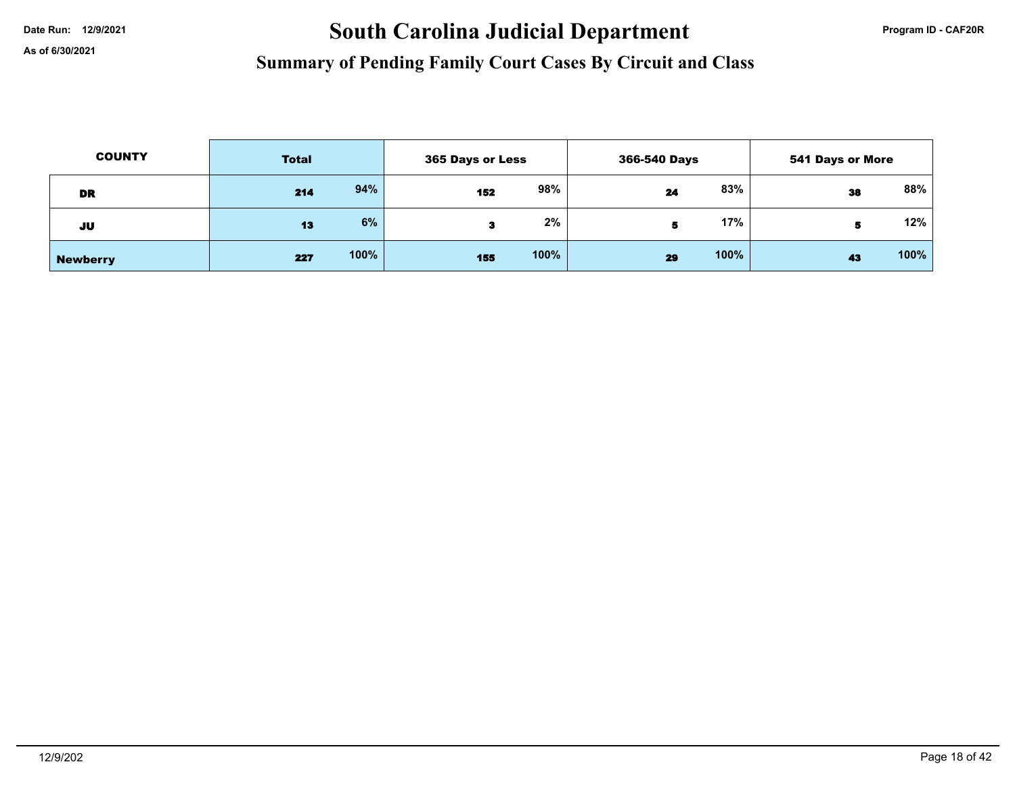# Date Run: 12/9/2021 **South Carolina Judicial Department Program ID - CAF20R**

| <b>COUNTY</b>   | <b>Total</b> |      | 365 Days or Less |      | 366-540 Days |      | 541 Days or More |        |
|-----------------|--------------|------|------------------|------|--------------|------|------------------|--------|
| <b>DR</b>       | 214          | 94%  | 152              | 98%  | 24           | 83%  | 38               | $88\%$ |
| JU              | 13           | 6%   |                  | 2%   |              | 17%  | 5                | 12%    |
| <b>Newberry</b> | 227          | 100% | 155              | 100% | 29           | 100% | 43               | 100%   |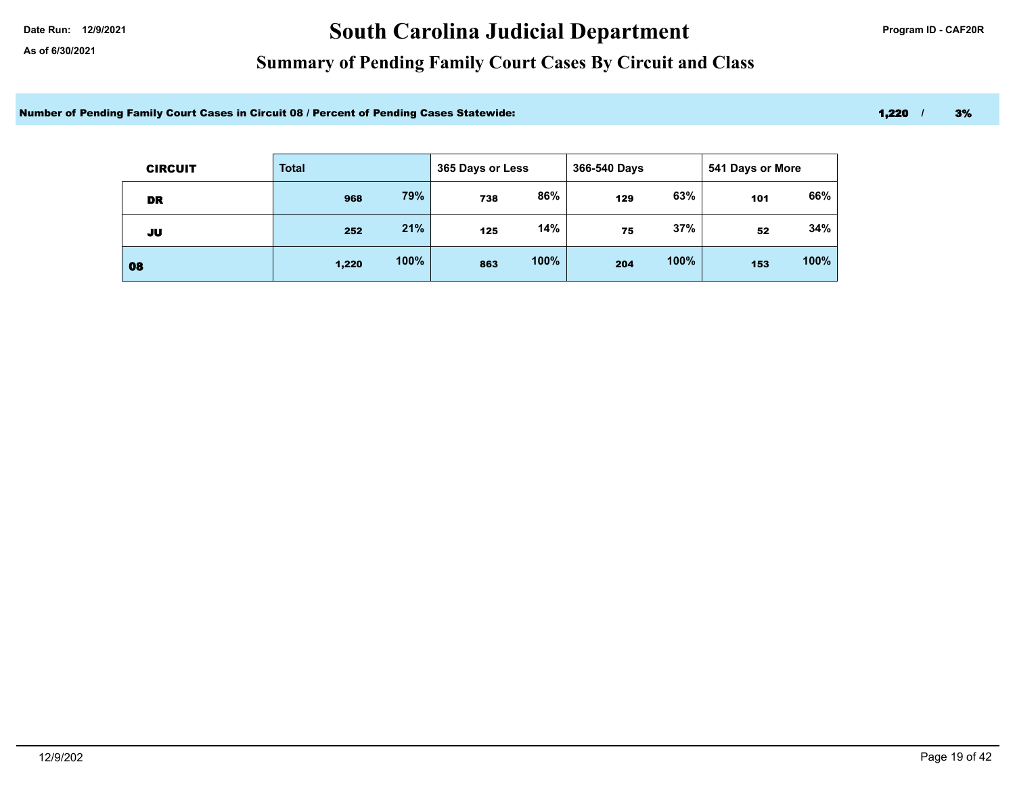# Date Run: 12/9/2021 **Carolina Judicial Department Program ID - CAF20R**

### **Summary of Pending Family Court Cases By Circuit and Class**

Number of Pending Family Court Cases in Circuit 08 / Percent of Pending Cases Statewide: 1,220 1, 200 1, 200 1, 200 1, 3%

| <b>CIRCUIT</b> | <b>Total</b> |      | 365 Days or Less |      | 366-540 Days |      | 541 Days or More |      |
|----------------|--------------|------|------------------|------|--------------|------|------------------|------|
| DR             | 968          | 79%  | 738              | 86%  | 129          | 63%  | 101              | 66%  |
| JU             | 252          | 21%  | 125              | 14%  | 75           | 37%  | 52               | 34%  |
| 08             | 1,220        | 100% | 863              | 100% | 204          | 100% | 153              | 100% |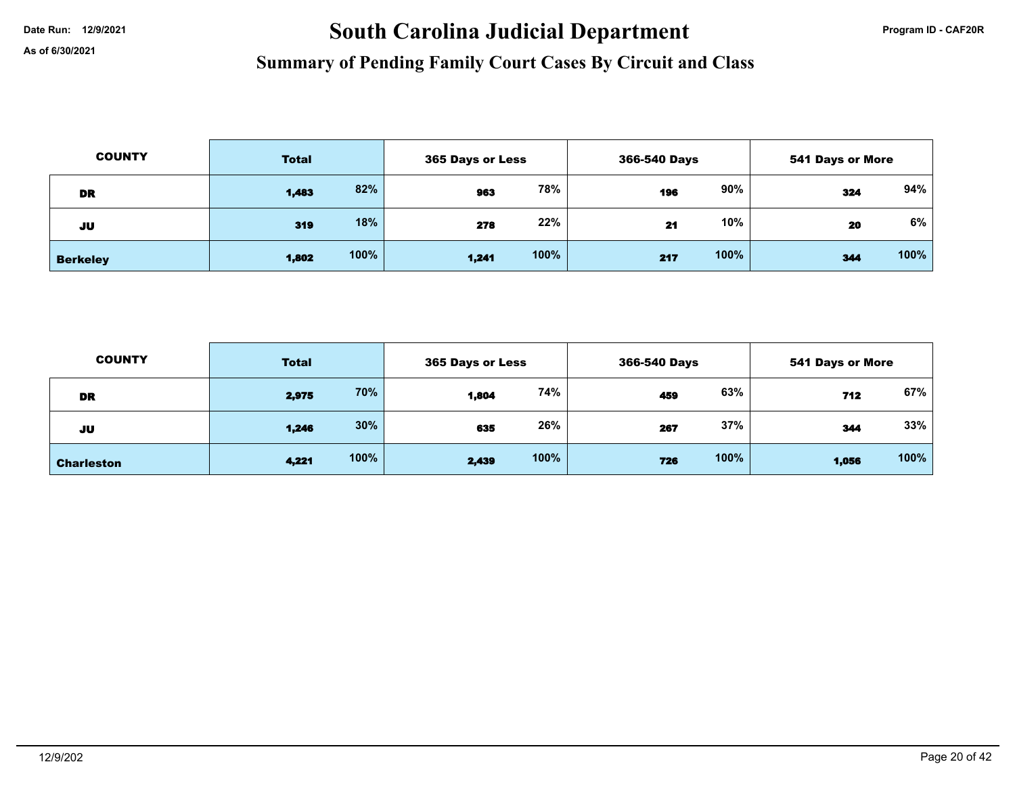# Date Run: 12/9/2021 **South Carolina Judicial Department Program ID - CAF20R**

| <b>COUNTY</b>   | <b>Total</b> |      | 365 Days or Less |      |     | 366-540 Days |     | <b>541 Days or More</b> |  |
|-----------------|--------------|------|------------------|------|-----|--------------|-----|-------------------------|--|
| DR              | 1,483        | 82%  | 963              | 78%  | 196 | 90%          | 324 | 94%                     |  |
| JU              | 319          | 18%  | 278              | 22%  | 21  | 10%          | 20  | 6%                      |  |
| <b>Berkeley</b> | 1,802        | 100% | 1,241            | 100% | 217 | 100%         | 344 | 100%                    |  |

| <b>COUNTY</b>     | <b>Total</b> |      | 365 Days or Less |      | 366-540 Days |      | 541 Days or More |      |
|-------------------|--------------|------|------------------|------|--------------|------|------------------|------|
| <b>DR</b>         | 2,975        | 70%  | 1,804            | 74%  | 459          | 63%  | 712              | 67%  |
| JU                | 1,246        | 30%  | 635              | 26%  | 267          | 37%  | 344              | 33%  |
| <b>Charleston</b> | 4,221        | 100% | 2,439            | 100% | 726          | 100% | 1,056            | 100% |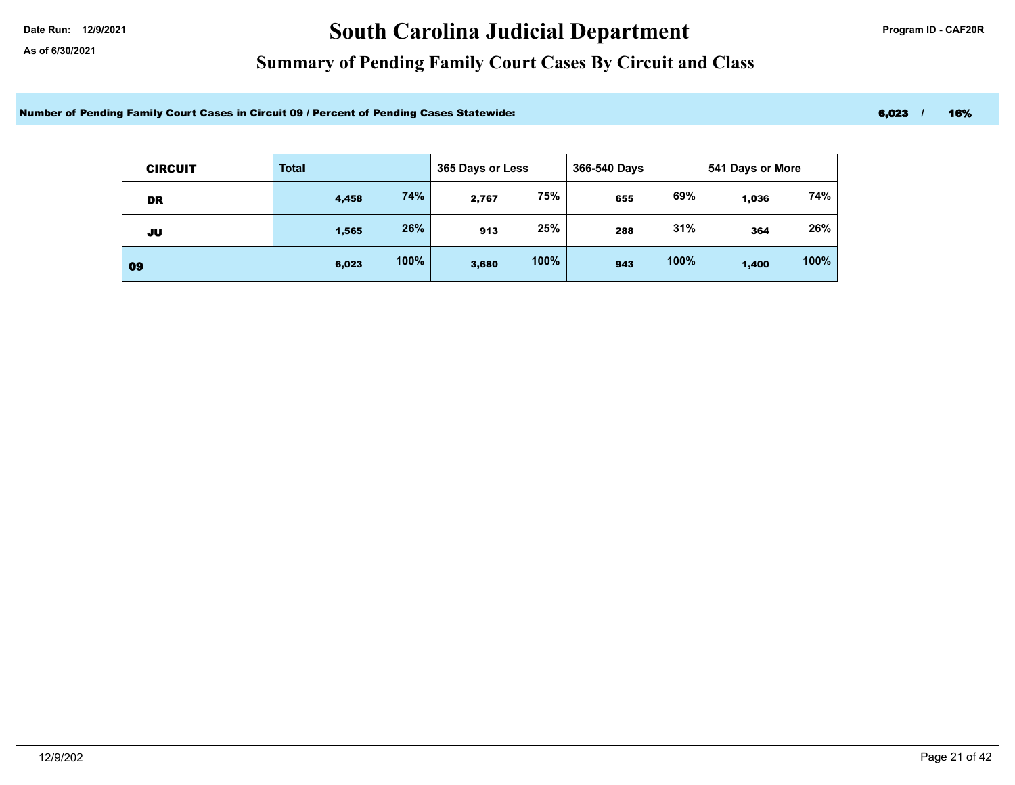# Date Run: 12/9/2021 **Carolina Judicial Department Program ID - CAF20R**

### **Summary of Pending Family Court Cases By Circuit and Class**

Number of Pending Family Court Cases in Circuit 09 / Percent of Pending Cases Statewide: 6,023 / 16% 6,023 / 16%

| <b>CIRCUIT</b> | <b>Total</b> |      | 365 Days or Less |      | 366-540 Days |      |       | 541 Days or More |  |
|----------------|--------------|------|------------------|------|--------------|------|-------|------------------|--|
| DR             | 4,458        | 74%  | 2,767            | 75%  | 655          | 69%  | 1,036 | 74%              |  |
| JU             | 1,565        | 26%  | 913              | 25%  | 288          | 31%  | 364   | 26%              |  |
| 09             | 6,023        | 100% | 3,680            | 100% | 943          | 100% | 1,400 | 100%             |  |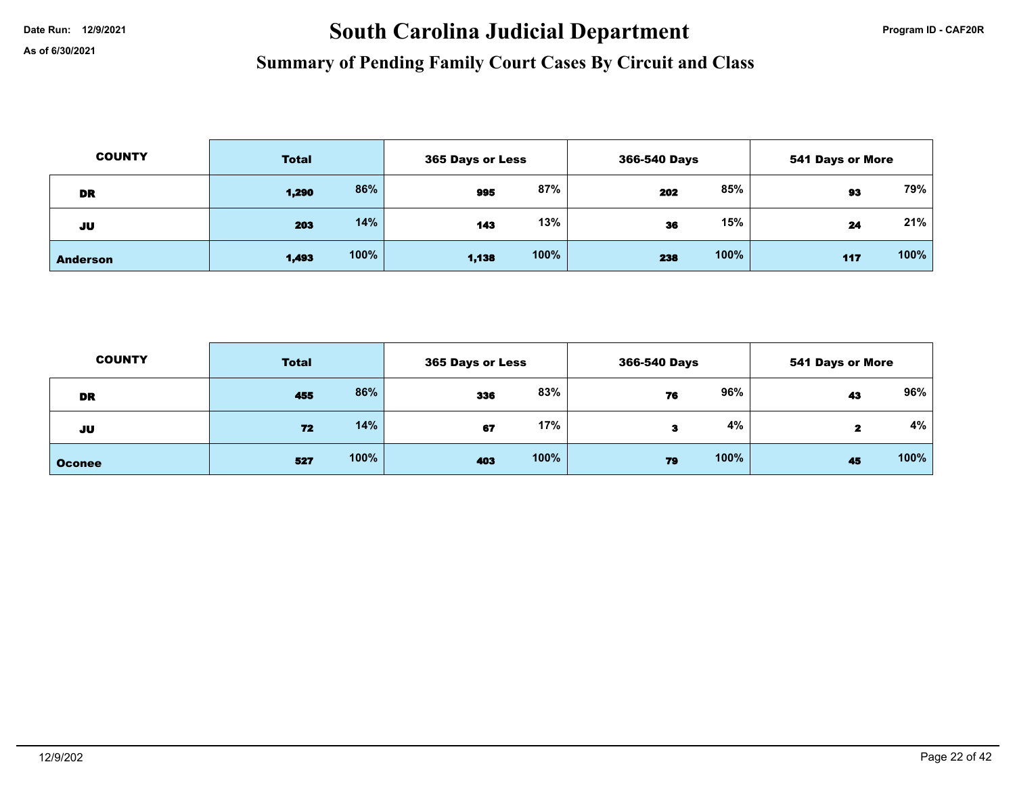# Date Run: 12/9/2021 **South Carolina Judicial Department Program ID - CAF20R**

| <b>COUNTY</b>   | <b>Total</b> |      | 365 Days or Less |      | 366-540 Days |      | <b>541 Days or More</b> |      |
|-----------------|--------------|------|------------------|------|--------------|------|-------------------------|------|
| DR              | 1,290        | 86%  | 995              | 87%  | 202          | 85%  | 93                      | 79%  |
| JU              | 203          | 14%  | 143              | 13%  | 36           | 15%  | 24                      | 21%  |
| <b>Anderson</b> | 1,493        | 100% | 1,138            | 100% | 238          | 100% | 117                     | 100% |

| <b>COUNTY</b> | <b>Total</b> |      |     | 365 Days or Less |    | 366-540 Days |    | <b>541 Days or More</b> |  |
|---------------|--------------|------|-----|------------------|----|--------------|----|-------------------------|--|
| DR            | 455          | 86%  | 336 | 83%              | 76 | 96%          | 43 | 96%                     |  |
| JU            | 72           | 14%  | 67  | 17%              | 3  | 4%           |    | 4%                      |  |
| <b>Oconee</b> | 527          | 100% | 403 | 100%             | 79 | 100%         | 45 | 100%                    |  |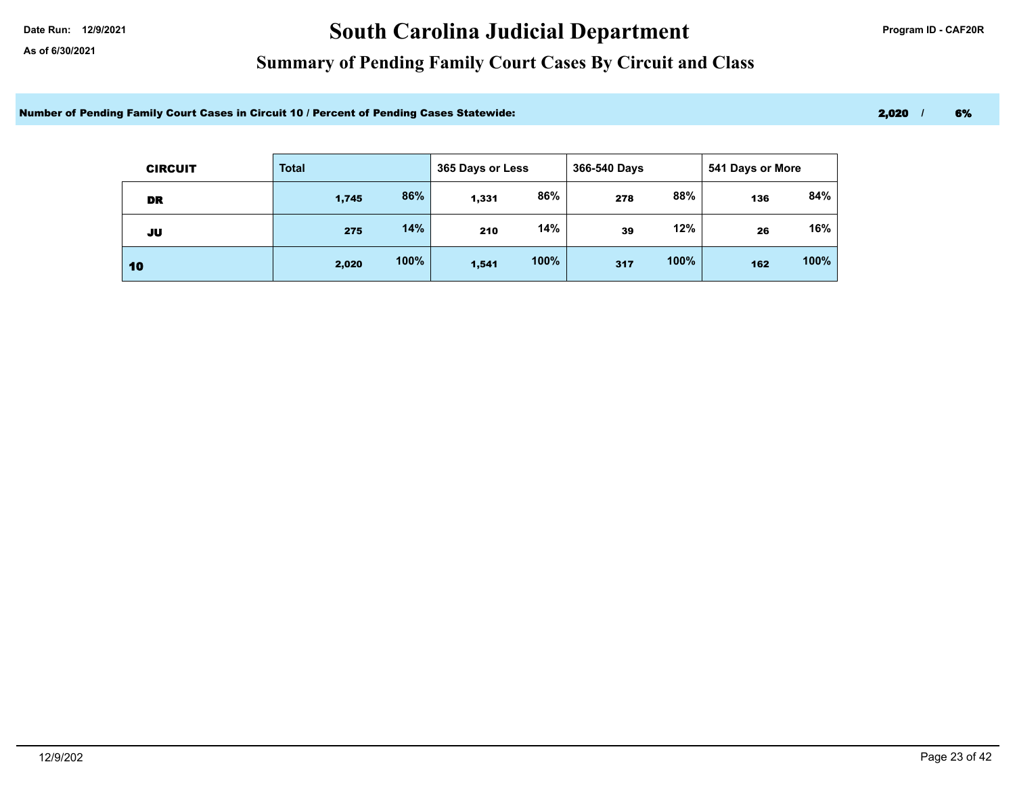# Date Run: 12/9/2021 **Carolina Judicial Department Program ID - CAF20R**

### **Summary of Pending Family Court Cases By Circuit and Class**

Number of Pending Family Court Cases in Circuit 10 / Percent of Pending Cases Statewide: 2000 1 2,020 1 2,020 1

| <b>CIRCUIT</b> | <b>Total</b> |      |       | 365 Days or Less |     | 366-540 Days |     | 541 Days or More |  |
|----------------|--------------|------|-------|------------------|-----|--------------|-----|------------------|--|
| DR             | 1,745        | 86%  | 1,331 | 86%              | 278 | 88%          | 136 | 84%              |  |
| JU             | 275          | 14%  | 210   | 14%              | 39  | 12%          | 26  | 16%              |  |
| 10             | 2,020        | 100% | 1,541 | 100%             | 317 | 100%         | 162 | 100%             |  |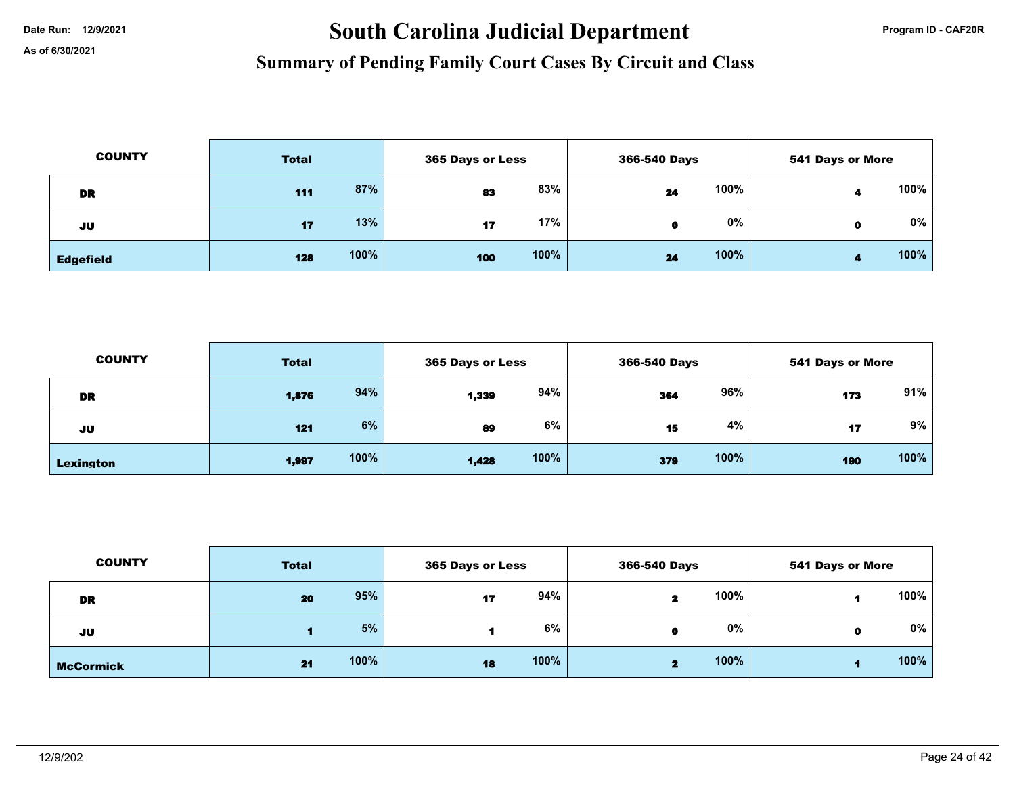# Date Run: 12/9/2021 **South Carolina Judicial Department Program ID - CAF20R**

| <b>COUNTY</b>    | <b>Total</b> |      | <b>365 Days or Less</b> |      | 366-540 Days |       | <b>541 Days or More</b> |      |
|------------------|--------------|------|-------------------------|------|--------------|-------|-------------------------|------|
| DR               | 111          | 87%  | 83                      | 83%  | 24           | 100%  |                         | 100% |
| JU               | 17           | 13%  | 17                      | 17%  | O            | $0\%$ | 0                       | 0%   |
| <b>Edgefield</b> | 128          | 100% | 100                     | 100% | 24           | 100%  |                         | 100% |

| <b>COUNTY</b> | <b>Total</b> |      |       | 365 Days or Less |     | 366-540 Days |     | <b>541 Days or More</b> |  |
|---------------|--------------|------|-------|------------------|-----|--------------|-----|-------------------------|--|
| <b>DR</b>     | 1,876        | 94%  | 1,339 | 94%              | 364 | 96%          | 173 | 91%                     |  |
| JU            | 121          | 6%   | 89    | 6%               | 15  | 4%           | 17  | 9%                      |  |
| Lexington     | 1,997        | 100% | 1,428 | 100%             | 379 | 100%         | 190 | 100%                    |  |

| <b>COUNTY</b>    | <b>Total</b> |      | 365 Days or Less |      | 366-540 Days |      | <b>541 Days or More</b> |      |
|------------------|--------------|------|------------------|------|--------------|------|-------------------------|------|
| <b>DR</b>        | 20           | 95%  | 17               | 94%  | 2            | 100% |                         | 100% |
| JU               |              | 5%   |                  | 6%   | $\mathbf{a}$ | 0%   |                         | 0%   |
| <b>McCormick</b> | 21           | 100% | 18               | 100% | 2            | 100% |                         | 100% |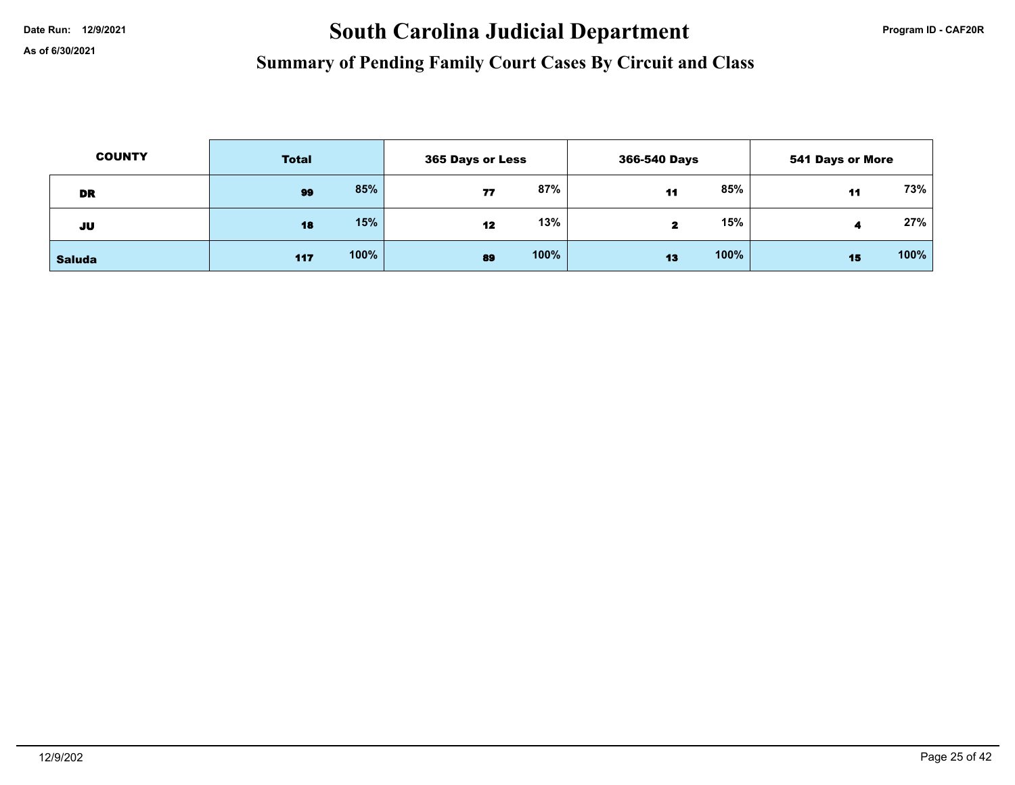# Date Run: 12/9/2021 **South Carolina Judicial Department Program ID - CAF20R**

| <b>COUNTY</b> | <b>Total</b> |      | <b>365 Days or Less</b> |      | 366-540 Days |      | 541 Days or More |        |
|---------------|--------------|------|-------------------------|------|--------------|------|------------------|--------|
| DR            | 99           | 85%  | 77                      | 87%  | 11           | 85%  | 11               | 73%    |
| JU            | 18           | 15%  | 12                      | 13%  | -2           | 15%  |                  | $27\%$ |
| <b>Saluda</b> | 117          | 100% | 89                      | 100% | 13           | 100% | 15               | 100%   |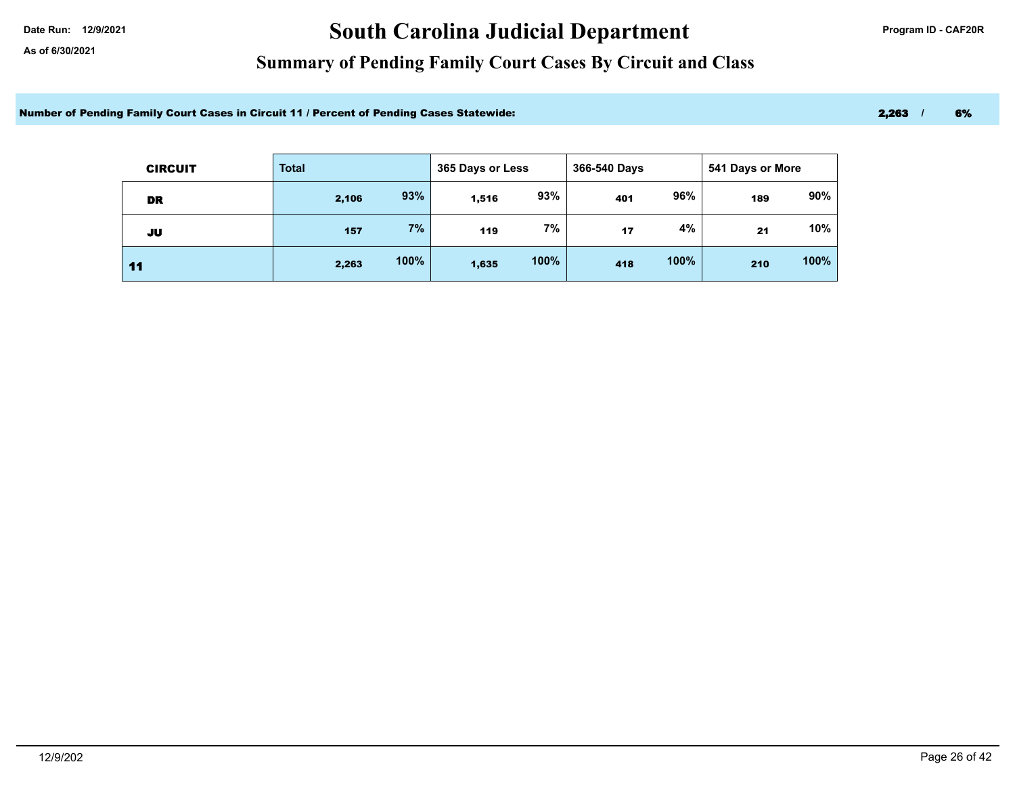# Date Run: 12/9/2021 **Carolina Judicial Department Program ID - CAF20R**

### **Summary of Pending Family Court Cases By Circuit and Class**

Number of Pending Family Court Cases in Circuit 11 / Percent of Pending Cases Statewide: 2,263 / 6% 2,263 / 6%

| <b>CIRCUIT</b> | <b>Total</b> |      | 365 Days or Less |      | 366-540 Days<br>541 Days or More |      |     |      |
|----------------|--------------|------|------------------|------|----------------------------------|------|-----|------|
| DR             | 2,106        | 93%  | 1,516            | 93%  | 401                              | 96%  | 189 | 90%  |
| JU             | 157          | 7%   | 119              | 7%   | 17                               | 4%   | 21  | 10%  |
| 11             | 2,263        | 100% | 1,635            | 100% | 418                              | 100% | 210 | 100% |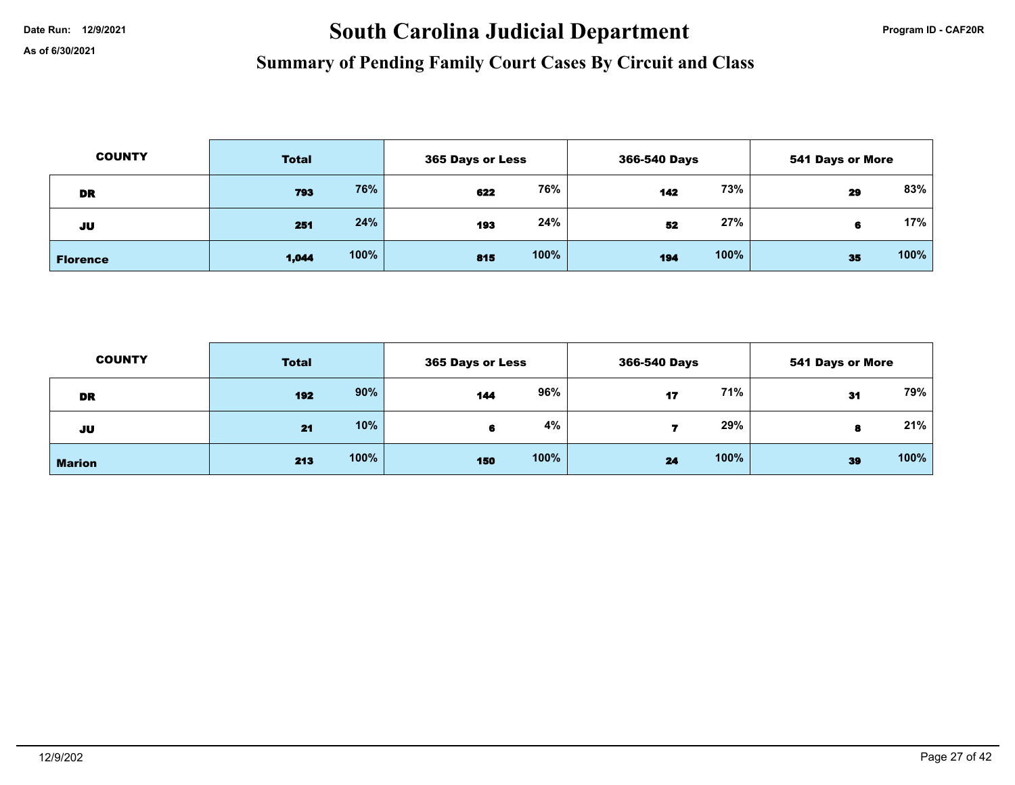# Date Run: 12/9/2021 **Carolina Judicial Department Program ID - CAF20R**

| <b>COUNTY</b>   | <b>Total</b> |      | <b>365 Days or Less</b> |      | 366-540 Days |      | <b>541 Days or More</b> |      |
|-----------------|--------------|------|-------------------------|------|--------------|------|-------------------------|------|
| DR              | 793          | 76%  | 622                     | 76%  | 142          | 73%  | 29                      | 83%  |
| JU              | 251          | 24%  | 193                     | 24%  | 52           | 27%  | 6                       | 17%  |
| <b>Florence</b> | 1,044        | 100% | 815                     | 100% | 194          | 100% | 35                      | 100% |

| <b>COUNTY</b> | <b>Total</b> |      | 365 Days or Less |      | 366-540 Days |      | <b>541 Days or More</b> |      |
|---------------|--------------|------|------------------|------|--------------|------|-------------------------|------|
| DR            | 192          | 90%  | 144              | 96%  | 17           | 71%  | 31                      | 79%  |
| JU            | 21           | 10%  |                  | 4%   |              | 29%  | 8                       | 21%  |
| <b>Marion</b> | 213          | 100% | 150              | 100% | 24           | 100% | 39                      | 100% |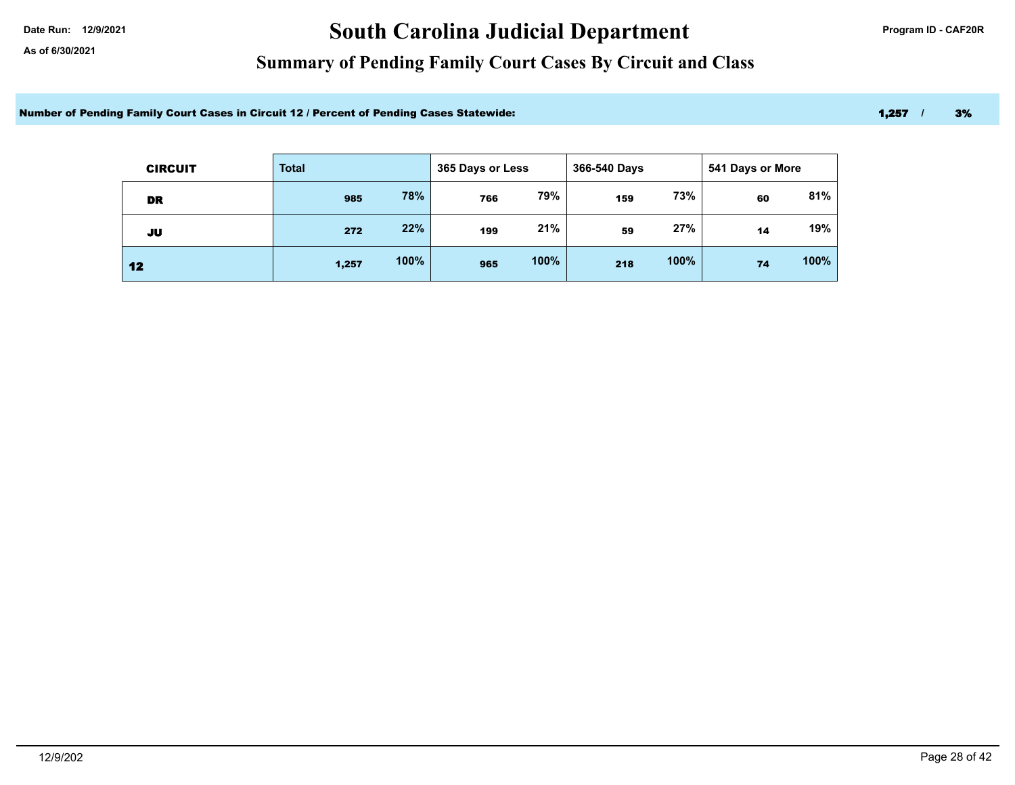# Date Run: 12/9/2021 **Carolina Judicial Department Program ID - CAF20R**

### **Summary of Pending Family Court Cases By Circuit and Class**

Number of Pending Family Court Cases in Circuit 12 / Percent of Pending Cases Statewide: 1,257 / 3% 1,257 / 3%

| <b>CIRCUIT</b> | <b>Total</b> |      | 365 Days or Less |      | 366-540 Days |      | 541 Days or More |      |
|----------------|--------------|------|------------------|------|--------------|------|------------------|------|
| DR             | 985          | 78%  | 766              | 79%  | 159          | 73%  | 60               | 81%  |
| JU             | 272          | 22%  | 199              | 21%  | 59           | 27%  | 14               | 19%  |
| 12             | 1,257        | 100% | 965              | 100% | 218          | 100% | 74               | 100% |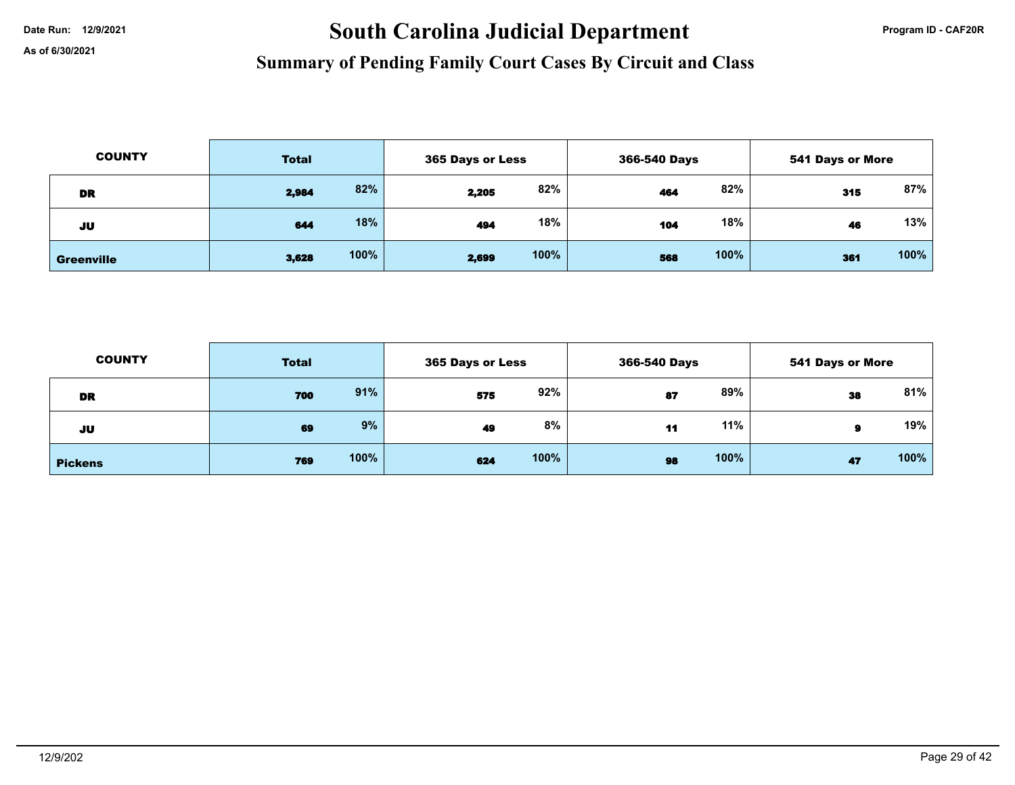# Date Run: 12/9/2021 **South Carolina Judicial Department Program ID - CAF20R**

| <b>COUNTY</b>     | <b>Total</b> |      | <b>365 Days or Less</b> |      | 366-540 Days |      | <b>541 Days or More</b> |      |
|-------------------|--------------|------|-------------------------|------|--------------|------|-------------------------|------|
| DR                | 2,984        | 82%  | 2,205                   | 82%  | 464          | 82%  | 315                     | 87%  |
| JU                | 644          | 18%  | 494                     | 18%  | 104          | 18%  | 46                      | 13%  |
| <b>Greenville</b> | 3,628        | 100% | 2,699                   | 100% | 568          | 100% | 361                     | 100% |

| <b>COUNTY</b>  | <b>Total</b> |      | 365 Days or Less |      | 366-540 Days |      | <b>541 Days or More</b> |      |
|----------------|--------------|------|------------------|------|--------------|------|-------------------------|------|
| DR             | 700          | 91%  | 575              | 92%  | 87           | 89%  | 38                      | 81%  |
| JU             | 69           | 9%   | 49               | 8%   | 11           | 11%  | я                       | 19%  |
| <b>Pickens</b> | 769          | 100% | 624              | 100% | 98           | 100% | 47                      | 100% |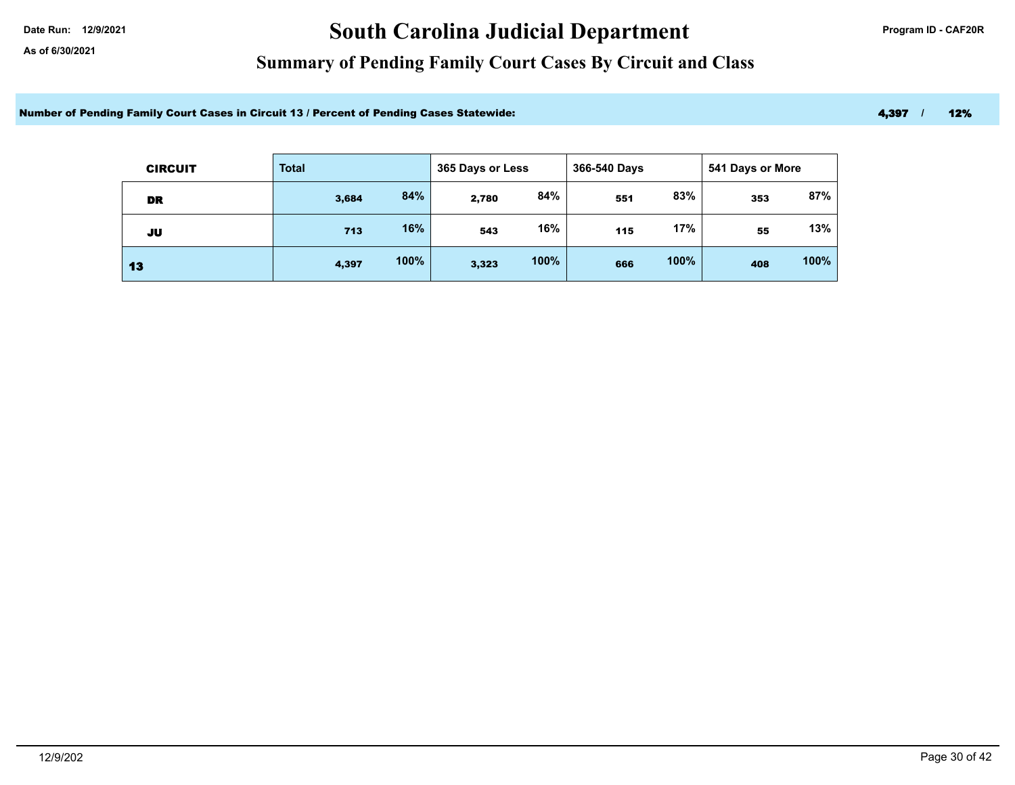# Date Run: 12/9/2021 **Carolina Judicial Department Program ID - CAF20R**

### **Summary of Pending Family Court Cases By Circuit and Class**

Number of Pending Family Court Cases in Circuit 13 / Percent of Pending Cases Statewide: 4,397 / 12%

| <b>CIRCUIT</b> | <b>Total</b> |      |       | 365 Days or Less |     | 366-540 Days |     | 541 Days or More |  |
|----------------|--------------|------|-------|------------------|-----|--------------|-----|------------------|--|
| DR             | 3,684        | 84%  | 2,780 | 84%              | 551 | 83%          | 353 | 87%              |  |
| JU             | 713          | 16%  | 543   | 16%              | 115 | 17%          | 55  | 13%              |  |
| 13             | 4,397        | 100% | 3,323 | 100%             | 666 | 100%         | 408 | 100%             |  |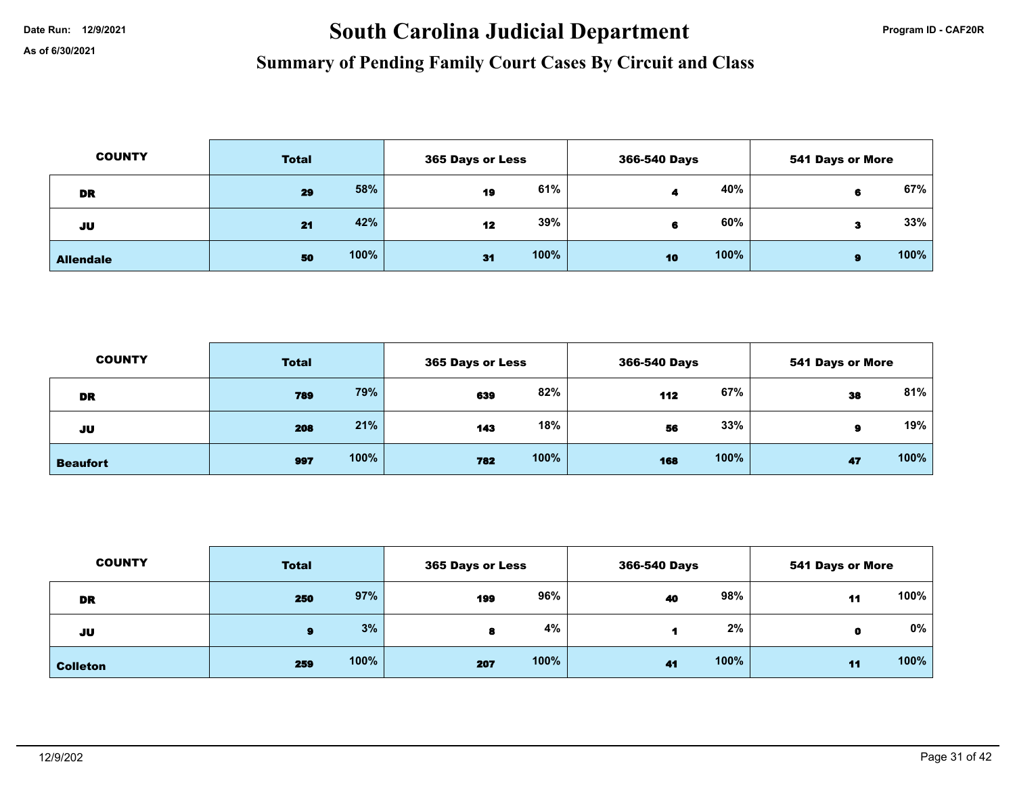# Date Run: 12/9/2021 **South Carolina Judicial Department Program ID - CAF20R**

| <b>COUNTY</b>    | <b>Total</b> |      | 365 Days or Less |      | 366-540 Days |      | <b>541 Days or More</b> |      |
|------------------|--------------|------|------------------|------|--------------|------|-------------------------|------|
| <b>DR</b>        | 29           | 58%  | 19               | 61%  |              | 40%  | 6                       | 67%  |
| JU               | 21           | 42%  | 12               | 39%  |              | 60%  | З                       | 33%  |
| <b>Allendale</b> | 50           | 100% | 31               | 100% | 10           | 100% | я                       | 100% |

| <b>COUNTY</b>   | <b>Total</b> |      |     | 365 Days or Less |     | 366-540 Days |    | <b>541 Days or More</b> |  |
|-----------------|--------------|------|-----|------------------|-----|--------------|----|-------------------------|--|
| DR              | 789          | 79%  | 639 | 82%              | 112 | 67%          | 38 | 81%                     |  |
| JU              | 208          | 21%  | 143 | 18%              | 56  | 33%          | я  | 19%                     |  |
| <b>Beaufort</b> | 997          | 100% | 782 | 100%             | 168 | 100%         | 47 | 100%                    |  |

| <b>COUNTY</b>   | <b>Total</b> |      |     | 365 Days or Less |    | 366-540 Days |    | <b>541 Days or More</b> |  |
|-----------------|--------------|------|-----|------------------|----|--------------|----|-------------------------|--|
| <b>DR</b>       | 250          | 97%  | 199 | 96%              | 40 | 98%          | 11 | 100%                    |  |
| JU              | 9            | 3%   |     | 4%               |    | 2%           | O  | 0%                      |  |
| <b>Colleton</b> | 259          | 100% | 207 | 100%             | 41 | 100%         | 11 | 100%                    |  |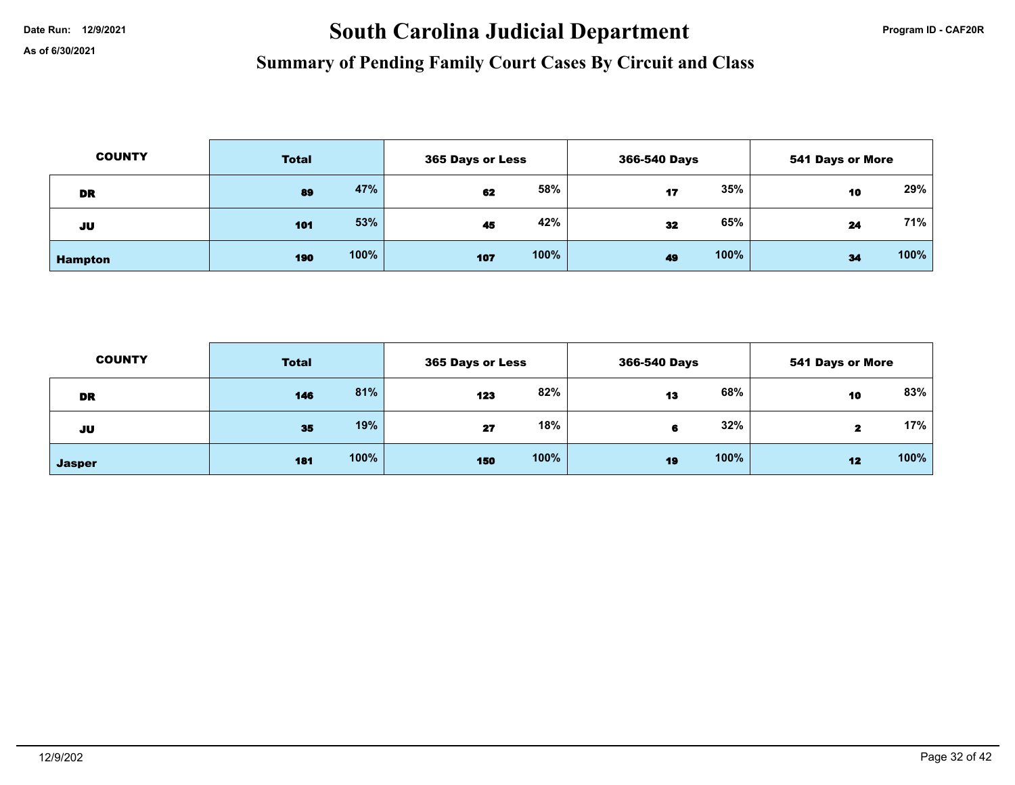# Date Run: 12/9/2021 **South Carolina Judicial Department Program ID - CAF20R**

| <b>COUNTY</b>  | <b>Total</b> |      | 365 Days or Less |      | 366-540 Days |      | <b>541 Days or More</b> |      |
|----------------|--------------|------|------------------|------|--------------|------|-------------------------|------|
| DR             | 89           | 47%  | 62               | 58%  | 17           | 35%  | 10                      | 29%  |
| JU             | 101          | 53%  | 45               | 42%  | 32           | 65%  | 24                      | 71%  |
| <b>Hampton</b> | 190          | 100% | 107              | 100% | 49           | 100% | 34                      | 100% |

| <b>COUNTY</b> | <b>Total</b> |      |     | 365 Days or Less |    | 366-540 Days |    | <b>541 Days or More</b> |  |
|---------------|--------------|------|-----|------------------|----|--------------|----|-------------------------|--|
| <b>DR</b>     | 146          | 81%  | 123 | 82%              | 13 | 68%          | 10 | 83%                     |  |
| JU            | 35           | 19%  | 27  | 18%              | 6  | 32%          |    | 17%                     |  |
| <b>Jasper</b> | 181          | 100% | 150 | 100%             | 19 | 100%         | 12 | 100%                    |  |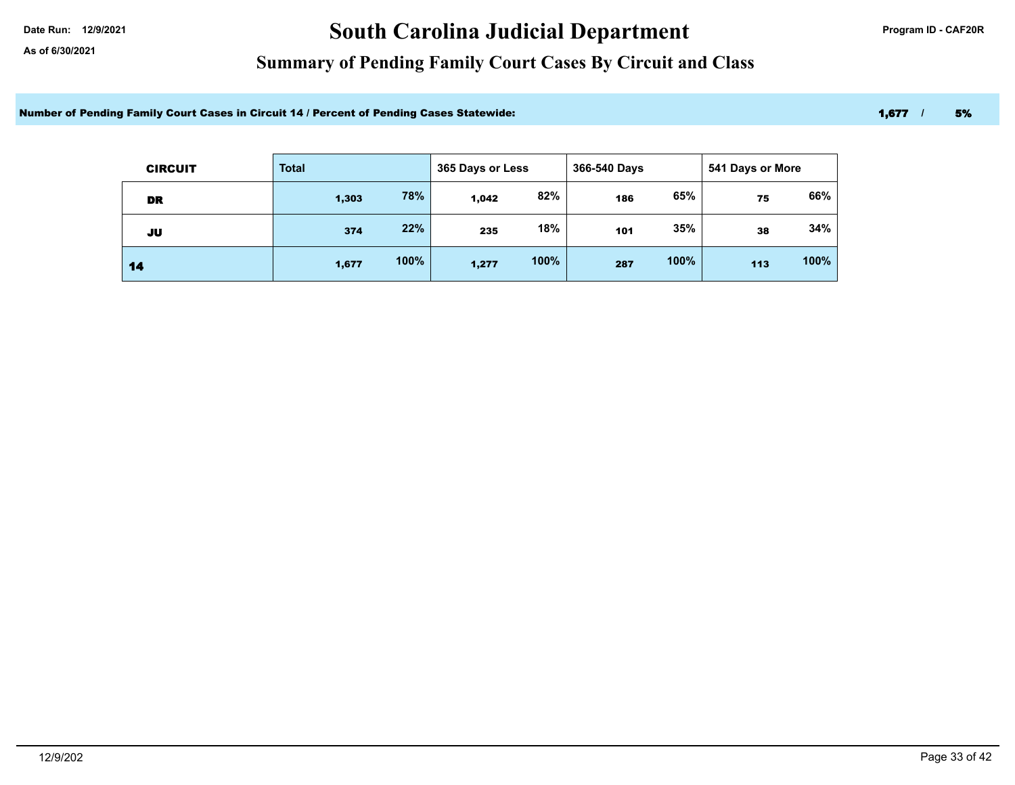# Date Run: 12/9/2021 **Carolina Judicial Department Program ID - CAF20R**

### **Summary of Pending Family Court Cases By Circuit and Class**

Number of Pending Family Court Cases in Circuit 14 / Percent of Pending Cases Statewide: 1,677 / 5% 1,677 / 5%

| <b>CIRCUIT</b> | <b>Total</b> |      | 365 Days or Less | 366-540 Days |     |      | 541 Days or More |      |
|----------------|--------------|------|------------------|--------------|-----|------|------------------|------|
| <b>DR</b>      | 1,303        | 78%  | 1,042            | 82%          | 186 | 65%  | 75               | 66%  |
| JU             | 374          | 22%  | 235              | 18%          | 101 | 35%  | 38               | 34%  |
| 14             | 1,677        | 100% | 1,277            | 100%         | 287 | 100% | 113              | 100% |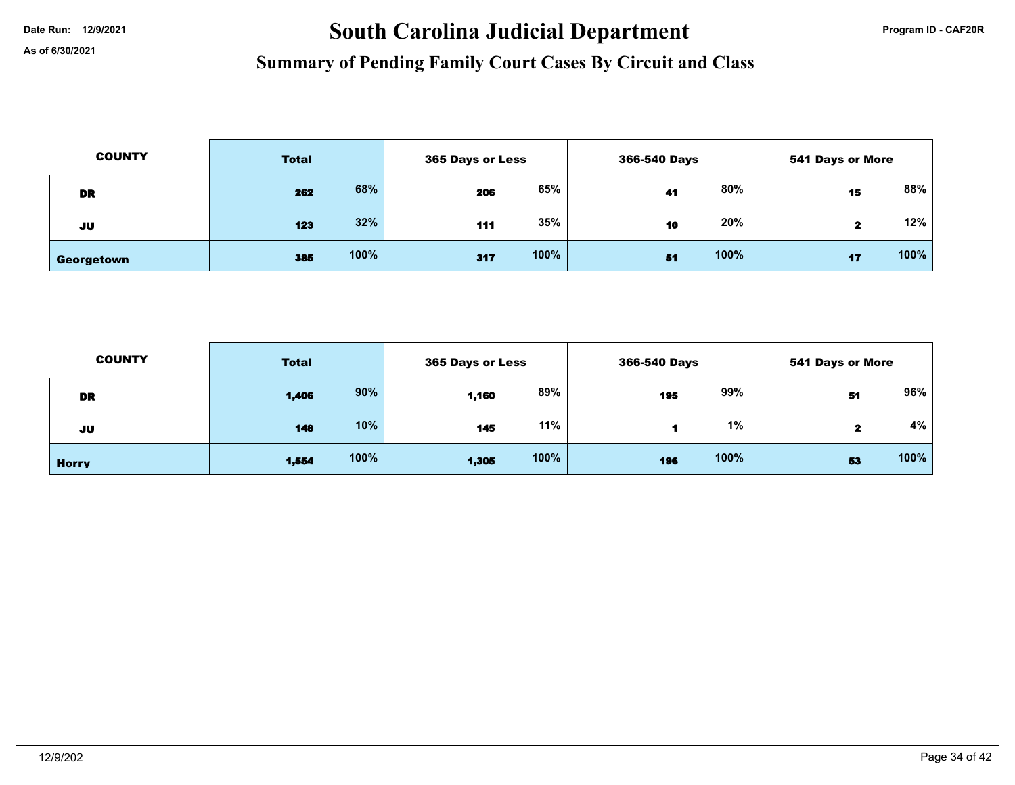# Date Run: 12/9/2021 **South Carolina Judicial Department Program ID - CAF20R**

| <b>COUNTY</b> | <b>Total</b> |      | 365 Days or Less |      | 366-540 Days |      | 541 Days or More |        |
|---------------|--------------|------|------------------|------|--------------|------|------------------|--------|
| DR            | 262          | 68%  | 206              | 65%  | 41           | 80%  | 15               | 88%    |
| JU            | 123          | 32%  | 111              | 35%  | 10           | 20%  | 2                | $12\%$ |
| Georgetown    | 385          | 100% | 317              | 100% | 51           | 100% | 17               | 100%   |

| <b>COUNTY</b> | <b>Total</b> |      | 365 Days or Less |      | 366-540 Days |      | 541 Days or More |      |
|---------------|--------------|------|------------------|------|--------------|------|------------------|------|
| DR            | 1,406        | 90%  | 1,160            | 89%  | 195          | 99%  | 51               | 96%  |
| JU            | 148          | 10%  | 145              | 11%  |              | 1%   |                  | 4%   |
| <b>Horry</b>  | 1,554        | 100% | 1,305            | 100% | 196          | 100% | 53               | 100% |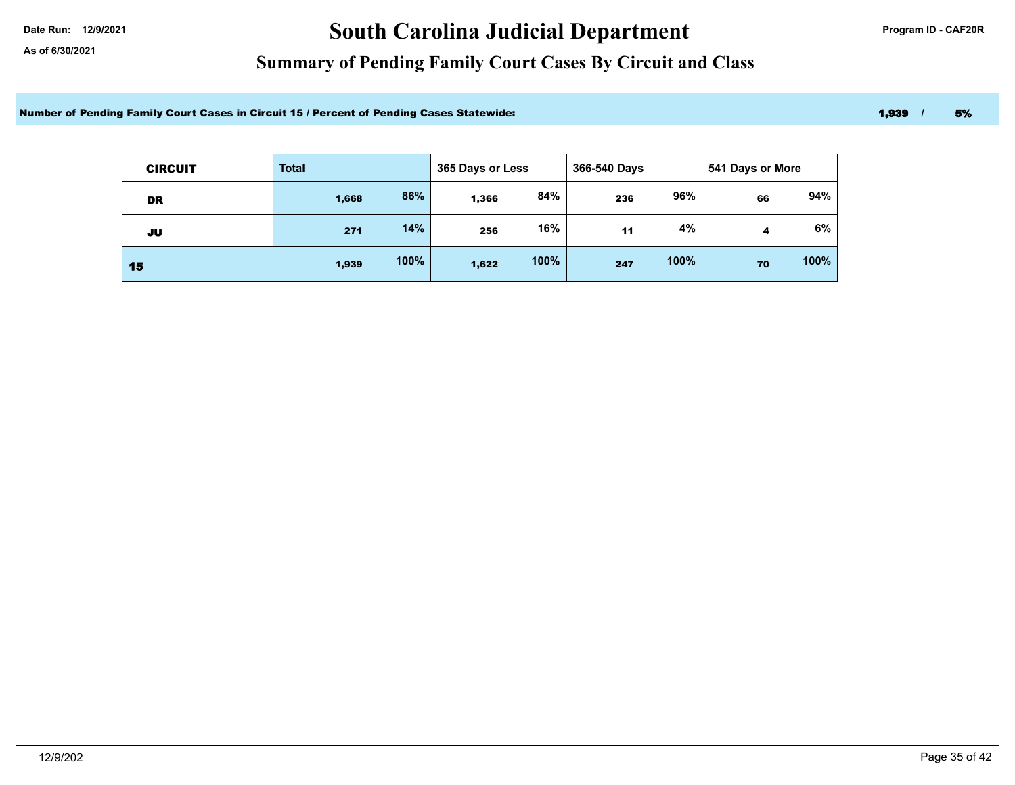# Date Run: 12/9/2021 **Carolina Judicial Department Program ID - CAF20R**

### **Summary of Pending Family Court Cases By Circuit and Class**

Number of Pending Family Court Cases in Circuit 15 / Percent of Pending Cases Statewide: 1,939 / 5% 1,939 / 5%

| <b>CIRCUIT</b> | <b>Total</b> | 365 Days or Less |       |      | 366-540 Days<br>541 Days or More |      |    |      |
|----------------|--------------|------------------|-------|------|----------------------------------|------|----|------|
| <b>DR</b>      | 1,668        | 86%              | 1,366 | 84%  | 236                              | 96%  | 66 | 94%  |
| JU             | 271          | 14%              | 256   | 16%  | 11                               | 4%   | 4  | 6%   |
| 15             | 1,939        | 100%             | 1,622 | 100% | 247                              | 100% | 70 | 100% |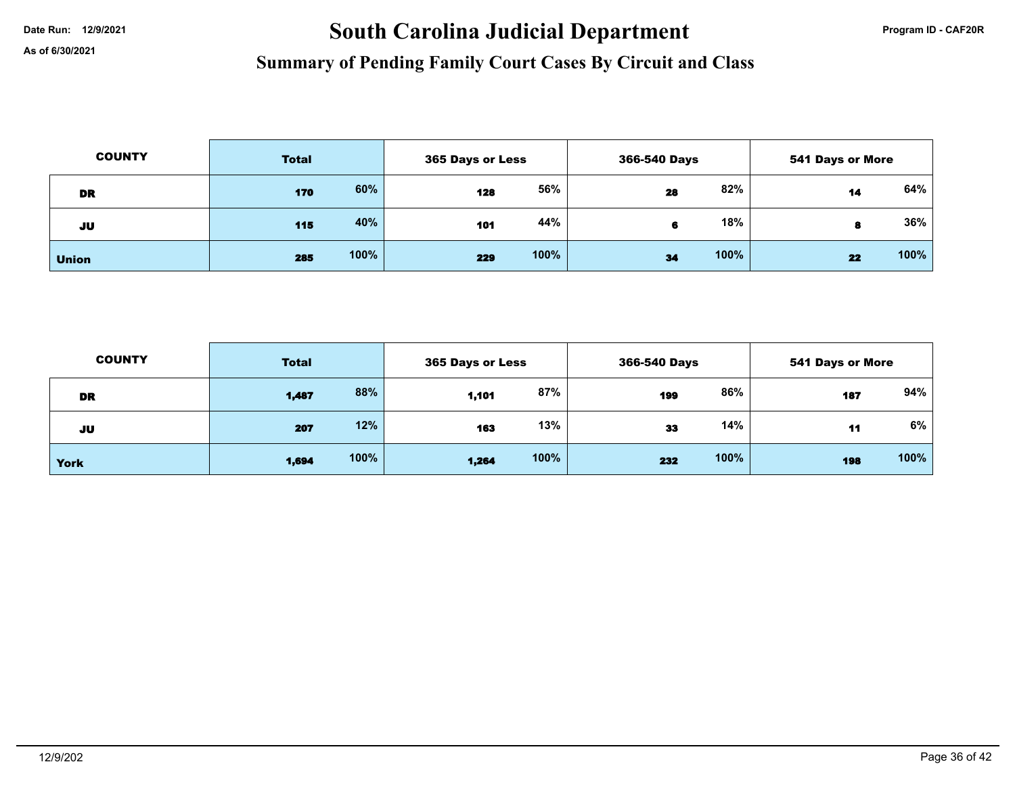# Date Run: 12/9/2021 **South Carolina Judicial Department Program ID - CAF20R**

| <b>COUNTY</b> | <b>Total</b> |      | 365 Days or Less |      | 366-540 Days |      | <b>541 Days or More</b> |      |
|---------------|--------------|------|------------------|------|--------------|------|-------------------------|------|
| DR            | 170          | 60%  | 128              | 56%  | 28           | 82%  | 14                      | 64%  |
| JU            | 115          | 40%  | 101              | 44%  |              | 18%  | 8                       | 36%  |
| <b>Union</b>  | 285          | 100% | 229              | 100% | 34           | 100% | 22                      | 100% |

| <b>COUNTY</b> | <b>Total</b> |      | 365 Days or Less |      | 366-540 Days |      | <b>541 Days or More</b> |      |
|---------------|--------------|------|------------------|------|--------------|------|-------------------------|------|
| DR            | 1,487        | 88%  | 1,101            | 87%  | 199          | 86%  | 187                     | 94%  |
| JU            | 207          | 12%  | 163              | 13%  | 33           | 14%  | 11                      | 6%   |
| <b>York</b>   | 1,694        | 100% | 1,264            | 100% | 232          | 100% | 198                     | 100% |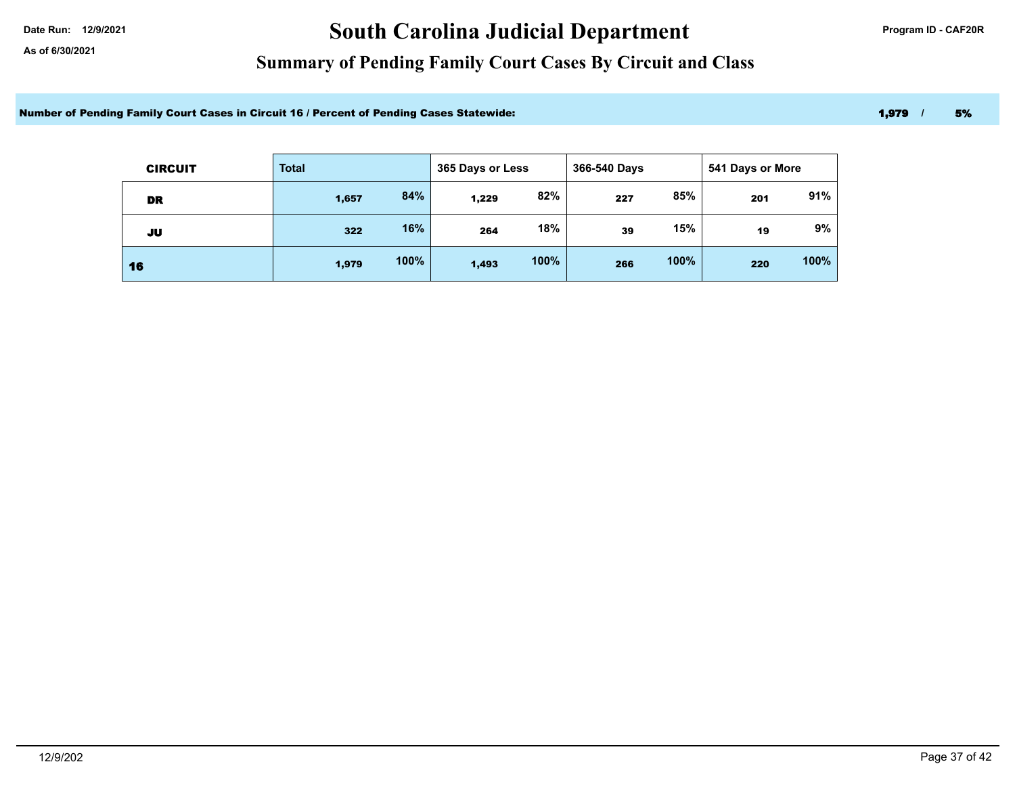# Date Run: 12/9/2021 **Carolina Judicial Department Program ID - CAF20R**

### **Summary of Pending Family Court Cases By Circuit and Class**

Number of Pending Family Court Cases in Circuit 16 / Percent of Pending Cases Statewide: 1,979 / 5% 1,979 / 5%

| <b>CIRCUIT</b> | <b>Total</b> |      | 365 Days or Less |      | 366-540 Days |      | 541 Days or More |      |
|----------------|--------------|------|------------------|------|--------------|------|------------------|------|
| DR             | 1,657        | 84%  | 1,229            | 82%  | 227          | 85%  | 201              | 91%  |
| JU             | 322          | 16%  | 264              | 18%  | 39           | 15%  | 19               | 9%   |
| 16             | 1,979        | 100% | 1,493            | 100% | 266          | 100% | 220              | 100% |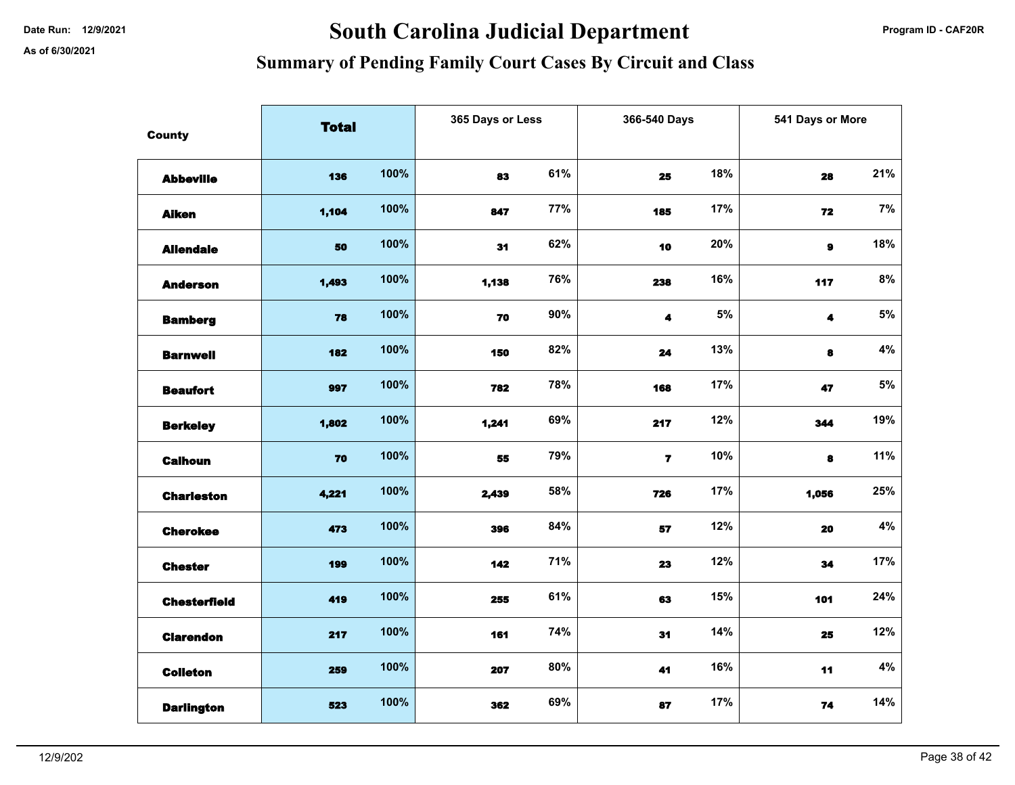# Date Run: 12/9/2021 **Carolina Judicial Department Program ID - CAF20R**

| <b>County</b>       | <b>Total</b> |      | 365 Days or Less |     | 366-540 Days   |       | 541 Days or More     |       |
|---------------------|--------------|------|------------------|-----|----------------|-------|----------------------|-------|
|                     |              |      |                  |     |                |       |                      |       |
| <b>Abbeville</b>    | 136          | 100% | 83               | 61% | 25             | 18%   | 28                   | 21%   |
| <b>Aiken</b>        | 1,104        | 100% | 847              | 77% | 185            | 17%   | 72                   | 7%    |
| <b>Allendale</b>    | 50           | 100% | 31               | 62% | 10             | 20%   | $\mathbf{9}$         | 18%   |
| <b>Anderson</b>     | 1,493        | 100% | 1,138            | 76% | 238            | 16%   | 117                  | $8\%$ |
| <b>Bamberg</b>      | 78           | 100% | 70               | 90% | 4              | $5\%$ | $\blacktriangleleft$ | $5\%$ |
| <b>Barnwell</b>     | 182          | 100% | 150              | 82% | 24             | 13%   | 8                    | $4\%$ |
| <b>Beaufort</b>     | 997          | 100% | 782              | 78% | 168            | 17%   | 47                   | $5\%$ |
| <b>Berkeley</b>     | 1,802        | 100% | 1,241            | 69% | 217            | 12%   | 344                  | 19%   |
| <b>Calhoun</b>      | 70           | 100% | 55               | 79% | $\overline{7}$ | 10%   | 8                    | 11%   |
| <b>Charleston</b>   | 4,221        | 100% | 2,439            | 58% | 726            | 17%   | 1,056                | 25%   |
| <b>Cherokee</b>     | 473          | 100% | 396              | 84% | 57             | 12%   | 20                   | $4\%$ |
| <b>Chester</b>      | 199          | 100% | 142              | 71% | 23             | 12%   | 34                   | 17%   |
| <b>Chesterfield</b> | 419          | 100% | 255              | 61% | 63             | 15%   | 101                  | 24%   |
| <b>Clarendon</b>    | 217          | 100% | 161              | 74% | 31             | 14%   | 25                   | 12%   |
| <b>Colleton</b>     | 259          | 100% | 207              | 80% | 41             | 16%   | 11                   | $4\%$ |
| <b>Darlington</b>   | 523          | 100% | 362              | 69% | 87             | 17%   | 74                   | 14%   |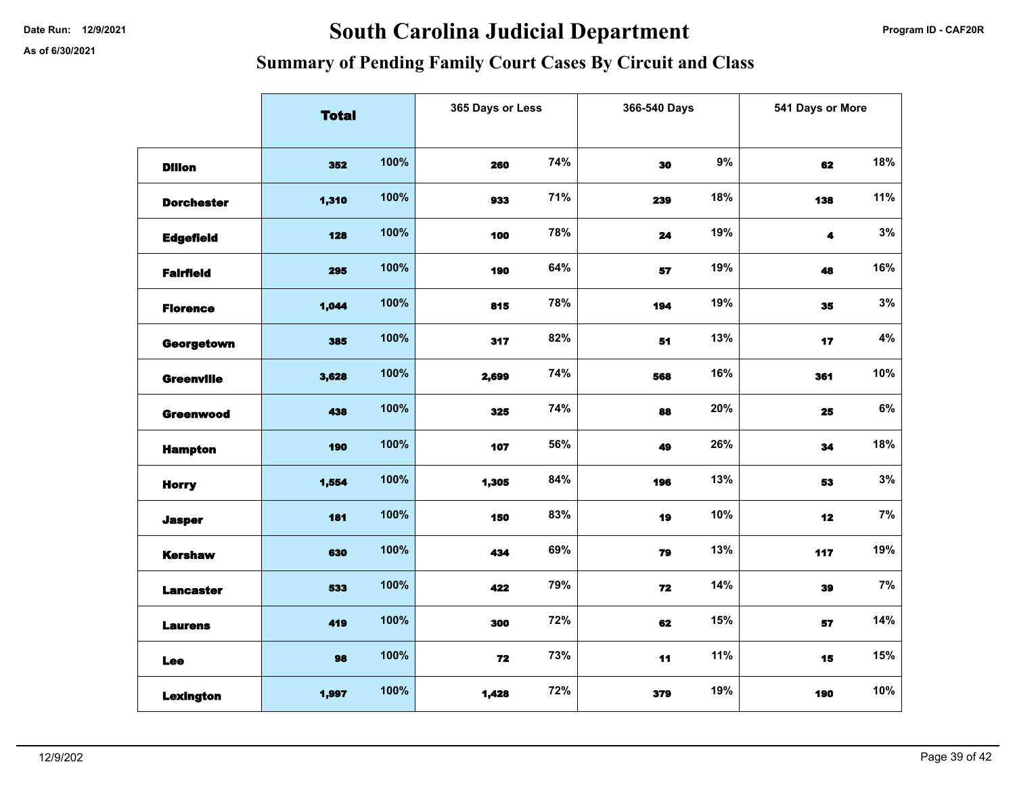# Date Run: 12/9/2021 **South Carolina Judicial Department Program ID - CAF20R**

|                   | <b>Total</b> |      | 365 Days or Less |     |     | 366-540 Days |                      | 541 Days or More |  |
|-------------------|--------------|------|------------------|-----|-----|--------------|----------------------|------------------|--|
|                   |              |      |                  |     |     |              |                      |                  |  |
| <b>Dillon</b>     | 352          | 100% | 260              | 74% | 30  | 9%           | 62                   | 18%              |  |
| <b>Dorchester</b> | 1,310        | 100% | 933              | 71% | 239 | 18%          | 138                  | 11%              |  |
| <b>Edgefield</b>  | 128          | 100% | 100              | 78% | 24  | 19%          | $\blacktriangleleft$ | 3%               |  |
| <b>Fairfield</b>  | 295          | 100% | 190              | 64% | 57  | 19%          | 48                   | 16%              |  |
| <b>Florence</b>   | 1,044        | 100% | 815              | 78% | 194 | 19%          | 35                   | 3%               |  |
| Georgetown        | 385          | 100% | 317              | 82% | 51  | 13%          | 17                   | 4%               |  |
| <b>Greenville</b> | 3,628        | 100% | 2,699            | 74% | 568 | 16%          | 361                  | 10%              |  |
| <b>Greenwood</b>  | 438          | 100% | 325              | 74% | 88  | 20%          | 25                   | $6\%$            |  |
| <b>Hampton</b>    | 190          | 100% | 107              | 56% | 49  | 26%          | 34                   | 18%              |  |
| <b>Horry</b>      | 1,554        | 100% | 1,305            | 84% | 196 | 13%          | 53                   | 3%               |  |
| <b>Jasper</b>     | 181          | 100% | 150              | 83% | 19  | 10%          | 12                   | 7%               |  |
| <b>Kershaw</b>    | 630          | 100% | 434              | 69% | 79  | 13%          | 117                  | 19%              |  |
| <b>Lancaster</b>  | 533          | 100% | 422              | 79% | 72  | 14%          | 39                   | $7\%$            |  |
| <b>Laurens</b>    | 419          | 100% | 300              | 72% | 62  | 15%          | 57                   | 14%              |  |
| Lee               | 98           | 100% | 72               | 73% | 11  | 11%          | 15                   | 15%              |  |
| <b>Lexington</b>  | 1,997        | 100% | 1,428            | 72% | 379 | 19%          | 190                  | 10%              |  |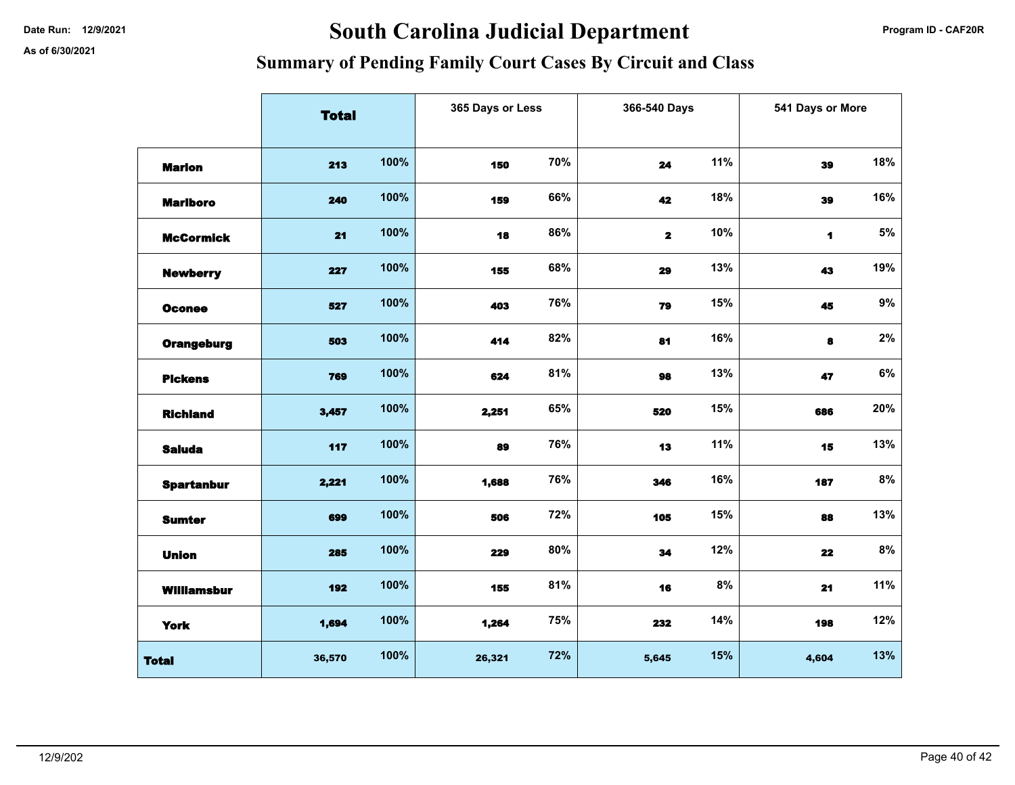# Date Run: 12/9/2021 **Date Run: 12/9/2021** Program ID - CAF20R

|                    | <b>Total</b> |      | 365 Days or Less |     |              | 366-540 Days |                | 541 Days or More |  |
|--------------------|--------------|------|------------------|-----|--------------|--------------|----------------|------------------|--|
|                    |              |      |                  |     |              |              |                |                  |  |
| <b>Marion</b>      | 213          | 100% | 150              | 70% | 24           | 11%          | 39             | 18%              |  |
| <b>Marlboro</b>    | 240          | 100% | 159              | 66% | 42           | 18%          | 39             | 16%              |  |
| <b>McCormick</b>   | 21           | 100% | 18               | 86% | $\mathbf{2}$ | 10%          | $\blacksquare$ | $5\%$            |  |
| <b>Newberry</b>    | 227          | 100% | 155              | 68% | 29           | 13%          | 43             | 19%              |  |
| <b>Oconee</b>      | 527          | 100% | 403              | 76% | 79           | 15%          | 45             | $9\%$            |  |
| <b>Orangeburg</b>  | 503          | 100% | 414              | 82% | 81           | 16%          | 8              | $2\%$            |  |
| <b>Pickens</b>     | 769          | 100% | 624              | 81% | 98           | 13%          | 47             | $6\%$            |  |
| <b>Richland</b>    | 3,457        | 100% | 2,251            | 65% | 520          | 15%          | 686            | 20%              |  |
| <b>Saluda</b>      | 117          | 100% | 89               | 76% | 13           | 11%          | 15             | 13%              |  |
| <b>Spartanbur</b>  | 2,221        | 100% | 1,688            | 76% | 346          | 16%          | 187            | $8\%$            |  |
| <b>Sumter</b>      | 699          | 100% | 506              | 72% | 105          | 15%          | 88             | 13%              |  |
| <b>Union</b>       | 285          | 100% | 229              | 80% | 34           | 12%          | 22             | $8\%$            |  |
| <b>Williamsbur</b> | 192          | 100% | 155              | 81% | 16           | 8%           | 21             | 11%              |  |
| <b>York</b>        | 1,694        | 100% | 1,264            | 75% | 232          | 14%          | 198            | 12%              |  |
| <b>Total</b>       | 36,570       | 100% | 26,321           | 72% | 5,645        | 15%          | 4,604          | 13%              |  |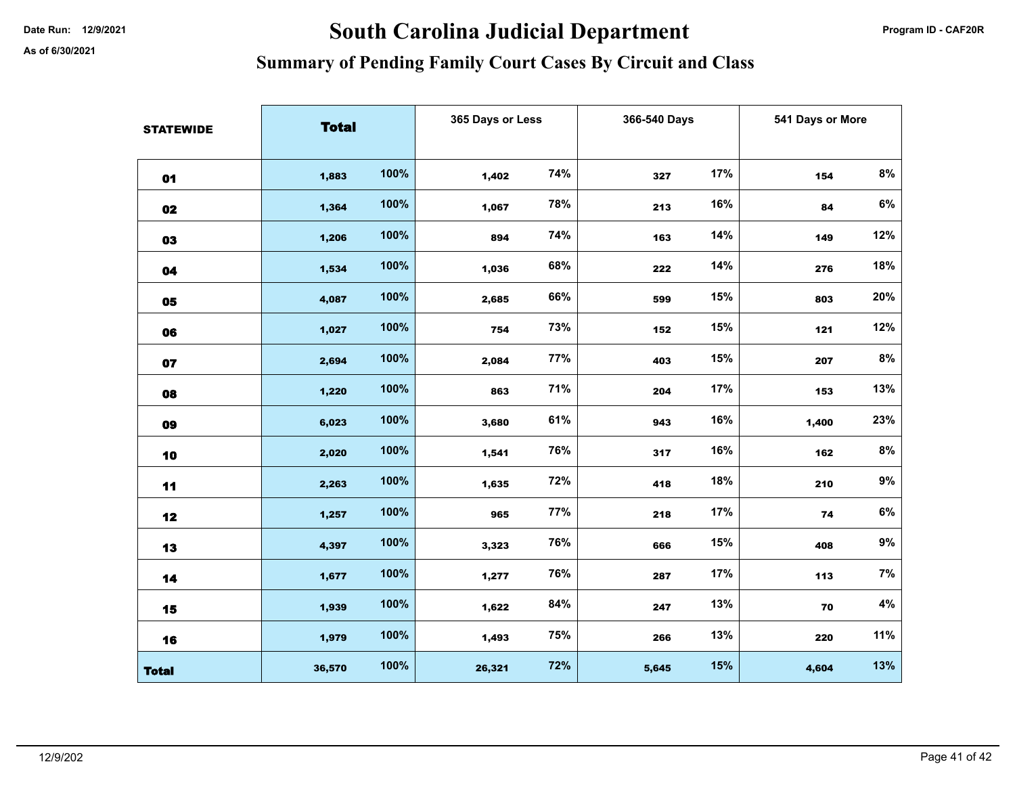# Date Run: 12/9/2021 **South Carolina Judicial Department Program ID - CAF20R**

| <b>STATEWIDE</b> | <b>Total</b> |      | 365 Days or Less |     | 366-540 Days |     | 541 Days or More |       |
|------------------|--------------|------|------------------|-----|--------------|-----|------------------|-------|
|                  |              |      |                  |     |              |     |                  |       |
| 01               | 1,883        | 100% | 1,402            | 74% | 327          | 17% | 154              | 8%    |
| 02               | 1,364        | 100% | 1,067            | 78% | 213          | 16% | 84               | 6%    |
| 03               | 1,206        | 100% | 894              | 74% | 163          | 14% | 149              | 12%   |
| 04               | 1,534        | 100% | 1,036            | 68% | 222          | 14% | 276              | 18%   |
| 05               | 4,087        | 100% | 2,685            | 66% | 599          | 15% | 803              | 20%   |
| 06               | 1,027        | 100% | 754              | 73% | 152          | 15% | 121              | 12%   |
| 07               | 2,694        | 100% | 2,084            | 77% | 403          | 15% | 207              | $8\%$ |
| 08               | 1,220        | 100% | 863              | 71% | 204          | 17% | 153              | 13%   |
| 09               | 6,023        | 100% | 3,680            | 61% | 943          | 16% | 1,400            | 23%   |
| 10               | 2,020        | 100% | 1,541            | 76% | 317          | 16% | 162              | 8%    |
| 11               | 2,263        | 100% | 1,635            | 72% | 418          | 18% | 210              | $9\%$ |
| 12               | 1,257        | 100% | 965              | 77% | 218          | 17% | 74               | $6\%$ |
| 13               | 4,397        | 100% | 3,323            | 76% | 666          | 15% | 408              | $9\%$ |
| 14               | 1,677        | 100% | 1,277            | 76% | 287          | 17% | 113              | $7\%$ |
| 15               | 1,939        | 100% | 1,622            | 84% | 247          | 13% | 70               | $4\%$ |
| 16               | 1,979        | 100% | 1,493            | 75% | 266          | 13% | 220              | 11%   |
| <b>Total</b>     | 36,570       | 100% | 26,321           | 72% | 5,645        | 15% | 4,604            | 13%   |